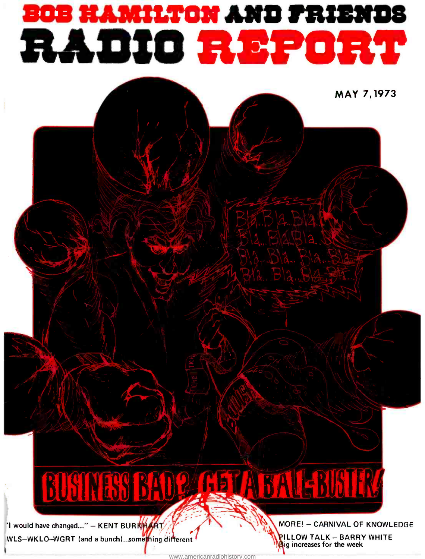# sos HAMILTON AND FRIEN<br>RADIO REPOR

MAY 7,1973

# **BUSINESS BADQ GET A**

'I would have changed..." - KENT BURKHART THE AND AND MORE! - CARNIVAL OF KNOWLEDGE WLS-WKLO-WGRT (and a bunch)...something different

**ILLOW TALK - BARRY WHITE** ig increases for the week

<www.americanradiohistory.com>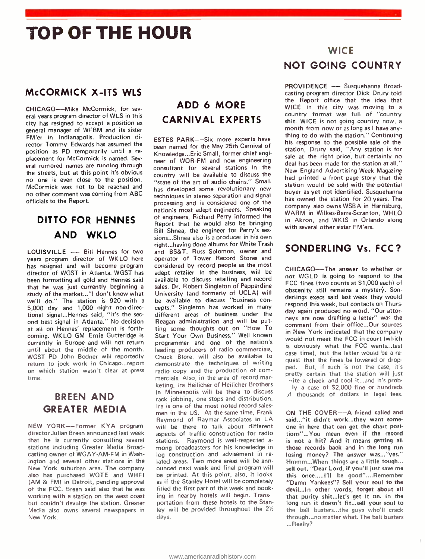# TOP OF THE HOUR

#### McCORMICK X-ITS WLS

CHICAGO--Mike McCormick, for several years program director of WLS in this city has resigned to accept a position as general manager of WFBM and its sister FM'er in Indianapolis. Production director Tommy Edwards has assumed the position as PD temporarily until a re placement for McCormick is named. Sevplacement for McCormick is named. Sev-<br>eral rumored names are running through exaceptions for coveral stations in the the streets, but at this point it's obvious no one is even close to the position. McCormick was not to be reached and no other comment was coming from ABC officials to the Report.

#### DITTO FOR HENNES AND WKLO

LOUISVILLE -- Bill Hennes for two years program director of WKLO here has resigned and will become program director of WGST in Atlanta. WGST has been formatting all gold and Hennes said that he was just currently beginning a study of the market... "I don't know what we'll do." The station is 920 with a 5,000 day and 1,000 night non-directional signal...Hennes said, "it's the sec ond best signal in Atlanta." No decision at all on Hennes' replacement is forthcoming. WKLO GM Ernie Gutteridge is currently in Europe and will not return until about the middle of the month. WGST PD John Bodner will reportedly return to jock work in Chicago...report on which station wasn't clear at press time.

#### BREEN AND GREATER MEDIA

NEW YORK--Former KYA program director Julian Breen announced last week that he is currently consulting several stations including Greater Media Broadcasting owner of WGAY -AM -FM in Washington and several other stations in the New York suburban area. The company also has purchased WQTE and WHFI (AM & FM) in Detroit, pending approval of the FCC. Breen said also that he was working with a station on the west coast but couldn't devulge the station. Greater Media also owns several newspapers in New York.

#### ADD 6 MORE CARNIVAL EXPERTS

ESTES PARK--Six more experts have been named for the May 25th Carnival of Knowledge...Eric Small, former chief engi-<br>sale at the right price, but certainly no consultant for several stations in the country will be available to discuss the "state of the art of audio chains." Small has developed some revolutionary new techniques in stereo separation and signal processing and is considered one of the nation's most adept engineers. Speaking of engineers, Richard Perry informed the Report that he would also be bringing Bill Shnea, the engineer for Perry's ses sions...Shnea also is a producer in his own right...having done albums for White Trash and BS&T. Russ Solomon, owner and operator of Tower Record Stores and considered by record people as the most adept retailer in the business, will be available to discuss retailing and record sales. Dr. Robert Singleton of Pepperdine University (and formerly of UCLA) will be available to discuss "business concepts." Singleton has worked in many different areas of business under the Reagan administration and will be putting some thoughts out on "How To Start Your Own Business." Well known programmer and one of the nation's  $\frac{w}{ie}$ leading producers of radio commercials, Chuck Blore, will also be available to demonstrate the techniques of writing radio copy and the production of commercials. Also, in the area of record marketing, Ira Heilicher of Heilicher Brothers in Minneapolis will be there to discuss rack jobbing, one stops and distribution. Ira is one of the most noted record sales men in the US. At the same time, Frank Raymond of Raymar Associates in LA will be there to talk about different aspects of traffic construction for radio stations. Raymond is well-respected among broadcasters for his knowledge in log construction and advisement in related areas. Two more areas will be ann ounced next week and final program will be printed. At this point, also, it looks as if the Stanley Hotel will be completely filled the first part of this week and booking in nearby hotels will begin. Transportation from these hotels to the Stanley will be provided throughout the  $2\frac{1}{2}$ days.

#### **WICE** NOT GOING COUNTRY

PROVIDENCE -- Susquehanna Broadcasting program director Dick Drury told the Report office that the idea that WICE in this city was moving to a country format was full of "country shit. WICE is not going country now, a month from now or as long as I have anything to do with the station." Continuing his response to the possible sale of the station, Drury said, "Any station is for deal has been made for the station at all." New England Advertising Week Magazine had printed a front page story that the station would be sold with the potential buyer as yet not identified. Susquehanna has owned the station for 20 years. The company also owns WSBA in Harrisburg, WARM in Wilkes-Barre-Scranton, WHLO in Akron, and WKIS in Orlando along with several other sister FM'ers.

#### SONDERLING Vs. FCC?

CHICAGO--The answer to whether or not WGLD is going to respond to the FCC fines (two counts at \$1,000 each) of obscenity still remains a mystery. Sonderlings execs said last week they would respond this week, but contacts on Thursday again produced no word. "Our attorneys are now drafting a letter" was the comment from their office...Our sources in New York indicated that the company would not meet the FCC in court (which is obviously what the FCC wants... test case time), but the letter would be a re quest that the fines be lowered or dropped. But, if such is not the case, it's pretty certain that the station will just 'rite a check and cool it...and it's probly a case of S2.000 fine or hundreds

A thousands of dollars in legal fees.

ON THE COVER--A friend called and said... "it didn't work...they want someone in here that can get the chart positions"...You mean even if the record is not a hit? And it means getting all those records back and in the long run losing money? The answer was..."yes." Hmmm...When things are a little tough... sell out. "Dear Lord, if you'll just save me this once ..... I'll be good"....Remember "Damn Yankees"? Sell your soul to the devil...ln other words, forget about all that purity shit...let's get it on. In the long run it doesn't fit...sell your soul to the ball busters...the guys who'll crack through...no matter what. The ball busters ...Really?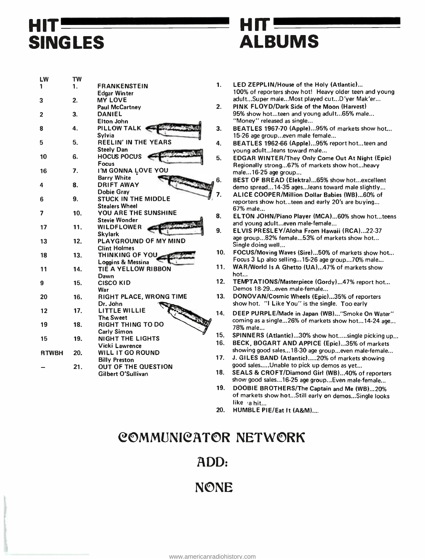# HIT SINGLES

### III = ALBUMS

| LW           | TW  |                                            |    |
|--------------|-----|--------------------------------------------|----|
| 1            | 1.  | <b>FRANKENSTEIN</b><br><b>Edgar Winter</b> | 1. |
| 3            | 2.  | <b>MY LOVE</b>                             |    |
|              |     | <b>Paul McCartney</b>                      | 2. |
|              | 3.  | <b>DANIEL</b>                              |    |
| 2            |     | Elton John                                 |    |
|              |     |                                            |    |
| 8            | 4.  | <b>PILLOW TALK</b>                         | 3. |
| 5            | 5.  | Sylvia<br><b>REELIN' IN THE YEARS</b>      |    |
|              |     |                                            | 4. |
| 10           | 6.  | <b>Steely Dan</b><br><b>HOCUS POCUS</b>    |    |
|              |     | <b>Focus</b>                               | 5. |
| 16           | 7.  | I'M GONNA LOVE YOU                         |    |
|              |     | <b>Barry White</b>                         |    |
| 4            | 8.  | <b>DRIFT AWAY</b>                          | 6. |
|              |     | <b>Dobie Gray</b>                          |    |
| 6            | 9.  | <b>STUCK IN THE MIDDLE</b>                 |    |
|              |     | <b>Stealers Wheel</b>                      |    |
| 7            | 10. | YOU ARE THE SUNSHINE                       |    |
|              |     | <b>Stevie Wonder</b>                       | 8. |
| 17           | 11. | <b>WILDFLOWER</b>                          |    |
|              |     | <b>Skylark</b>                             | 9. |
| 13           | 12. | PLAYGROUND OF MY MIND                      |    |
|              |     | <b>Clint Holmes</b>                        |    |
| 18           | 13. | <b>THINKING OF YOU.</b>                    | 10 |
|              |     | Loggins & Messina                          |    |
| 11           | 14. | <b>TIE A YELLOW RIBBON</b>                 | 11 |
|              |     | Dawn                                       |    |
| 9            | 15. | <b>CISCO KID</b>                           | 12 |
|              |     | War                                        |    |
| 20           | 16. | RIGHT PLACE, WRONG TIME                    | 13 |
|              |     | Dr. John                                   |    |
| 12           | 17. | LITTLE WILLIE                              | 14 |
|              |     | <b>The Sweet</b>                           |    |
| 19           | 18. | <b>RIGHT THING TO DO</b>                   |    |
|              |     | Carly Simon                                |    |
| 15           | 19. | <b>NIGHT THE LIGHTS</b>                    | 15 |
|              |     | Vicki Lawrence                             | 16 |
| <b>RTWBH</b> | 20. | <b>WILL IT GO ROUND</b>                    |    |
|              |     | <b>Billy Preston</b>                       | 17 |
|              | 21. | <b>OUT OF THE QUESTION</b>                 |    |
|              |     | Gilbert O'Sullivan                         | 18 |
|              |     |                                            |    |
|              |     |                                            |    |

- LED ZEPPLIN/House of the Holy (Atlantic)... 100% of reporters show hot! Heavy older teen and young adult...Super male...Most played cut...D'yer Mak'er...
- 2. PINK FLOYD/Dark Side of the Moon (Harvest) 95% show hot...teen and young adult...65% male... "Money" released as single...
- 3. BEATLES 1967 -70 (Apple)...95% of markets show hot... 15 -26 age group...even male female...
- 4. BEATLES 1962 -66 (Apple)...95% report hot...teen and young adult...leans toward male...
- 5. EDGAR WINTER /They Only Come Out At Night (Epic) Regionally strong...67% of markets show hot...heavy male...16 -25 age group...

BEST OF BREAD (Elektral...65% show hot...excellent demo spread...14 -35 ages...leans toward male slightly... ALICE COOPER /Million Dollar Babies (WB)...60% of

- reporters show hot...teen and early 20's are buying... 67% male... 8. ELTON JOHN /Piano Player (MCA)...60% show hot...teens
- and young adult...even male-female...

9. ELVIS PRESLEY/Aloha From Hawaii (RCA)...22-37 age group...82% female...53% of markets show hot... Single doing well...

- 10. FOCUS/Moving Waves (Sire)...50% of markets show hot... Focus 3 Lp also selling...15 -26 age group...70% male...
- 1. WAR/World Is A Ghetto (UA)...47% of markets show hot...
- 2. TEMPTATIONS/Masterpiece (Gordy)...47% report hot... Demos 18-29...even male-female...
- 3. DONOVAN/Cosmic Wheels (Epic)...35% of reporters show hot. "I Like You" is the single. Too early
- 4. DEEP PURPLE/Made in Japan (WB)... "Smoke On Water" coming as a single...26% of markets show hot...14-24 age... 78% male...
- 15. SPINNERS (Atlantic)...30% show hot.....single picking up...
- 16. BECK, BOGART AND APPICE (Epic)...35% of markets showing good sales...18-30 age group...even male-female...
- 17. J. GILES BAND (Atlantic).....20% of markets showing good sales.....Unable to pick up demos as yet...
- 18. SEALS & CROFT /Diamond Girl (WB)...40% of reporters show good sales...16 -25 age group...Even male -female...
- 19. DOOBIE BROTHERS /The Captain and Me (WB)...20% of markets show hot...Still early on demos...Single looks like a hit...
- 20. HUMBLE PIE/Eat It (A&M)....

#### COMMUNI@ATOR NETWORK

#### ADD:

#### **NONE**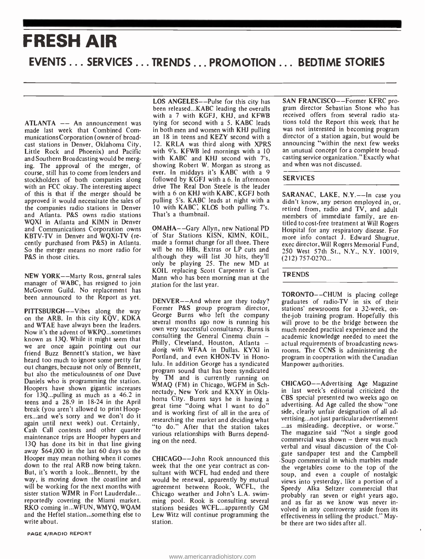## FRESH AIR EVENTS ... SERVICES ... TRENDS ... PROMOTION ... BEDTIME STORIES

ATLANTA -- An announcement was made last week that Combined Communications Corporation (owner of broadcast stations in Denver, Oklahoma City, Little Rock and Phoenix) and Pacific and Southern Broadcasting would be merging. The approval of the merger, of course, still has to come from lenders and stockholders of both companies along with an FCC okay. The interesting aspect of this is that if the merger should be approved it would necessitate the sales of pulling 5's. KABC leads at night with a the companies radio stations in Denver and Atlanta. P&S owns radio stations WQXI in Atlanta and KIMN in Denver and Communications Corporation owns KBTV-TV in Denver and WQXI-TV (recently purchased from P&S) in Atlanta. So the merger means no more radio for P&S in those cities.

NEW YORK--Marty Ross, general sales manager of WABC, has resigned to join sta McGovern Guild. No replacement has been announced to the Report as yet.

PITTSBURGH--Vibes along the way on the ARB. In this city  $K\overline{Q}V$ ,  $KDKA$  we use that who left the company ond  $WTAE$  have always been the leaders and WTAE have always been the leaders. Now it's the advent of WKPQ...sometimes<br>largest consulting the General Cinema chain – known as 13Q. While it might seem that we are once again pointing out our Finity, Cleveland, Houston, Atlanta –<br>friend Burg Bonnett's station we have along with WFAA in Dallas, KYXI in friend Buzz Bennett's station, we have heard too much to ignore some pretty far out changes, because not only of Bennett, but also the meticulousness of one Dave Daniels who is programming the station. Hoopers have shown gigantic increases for 13Q...pulling as much as a 46.2 in teens and a 28.9 in 18-24 in the April break (you aren't allowed to print Hoopers...and we's sorry and we don't do it again until next week) out. Certainly, Cash Call contests and other quarter maintenance trips are Hooper hypers and 13Q has done its bit in that line giving away \$64,000 in the last 60 days so the Hooper may mean nothing when it comes down to the real ARB now being taken. But, it's worth a look...Bennett, by the way, is moving down the coastline and will be working for the next months with sister station WJMR in Fort Lauderdale... reportedly covering the Miami market. RKO coming in...WFUN, WMYQ, WQAM and the Heftel station...something else to write about.

LOS ANGELES--Pulse for this city has been released...KABC leading the overalls with a 7 with KGFJ, KHJ, and KFWB tying for second with a 5. KABC leads tions told the Report this week that he<br>in both men and women with KHJ pulling was not interested in becoming program in both men and women with KHJ pulling an 18 in teens and KEZY second with a 12. KRLA was third along with XPRS with 9's. KFWB led mornings with a 10 with KABC and KHJ second with 7's, showing Robert W. Morgan as strong as ever. In middays it's KABC with a 9 followed by KGFJ with a 6. In afternoon drive The Real Don Steele is the leader with a 6 on KHJ with KABC, KGFJ both 10 with KABC, KLOS both pulling 7's. That's a thumbnail.

of Star Stations KISN, KIMN, KOIL, made a format change for all three. There will be no HBs, Extras or LP cuts and although they will list 30 hits, they'll only be playing 25. The new MD at KOIL replacing Scott Carpenter is Carl Mann who has been morning man at the Station for the last year.

DENVER--And where are they today? Former P&S group program director, st George Burns who left the company own very successful consultancy. Burns is Philly, Cleveland, Houston, Atlanta -Portland, and even KHON-TV in Honolulu. In addition George has a syndicated program sound that has been syndicated by TM and is currently running on WMAQ (FM) in Chicago, WGFM in Schnectady, New York and KXXY in Oklahoma City. Burns says he is having a great time "doing what I want to do" and is working first of all in the area of researching the market and deciding what "to do." After that the station takes various relationships with Burns depending on the need.

CHICAGO--John Rook announced this week that the one year contract as con sultant with WCFL had ended and there would be renewal, apparently by mutual agreement between Rook, WCFL, the Chicago weather and John's L.A. swimming pool. Rook is consulting several stations besides WCFL...apparently GM Lew Witz will continue programming the station.

SAN FRANCISCO--Former KFRC program director Sebastian Stone who has received offers from several radio stations told the Report this week that he director of a station again, but would be announcing "within the next few weeks an unusual concept for a complete broadcasting service organization." Exactly what and when was not discussed.

#### SERVICES

titled to cost-free treatment at Will Rogers<br>OMAHA——Gary Allyn, new National PD Hospital for any respiratory disease. For SARANAC, LAKE, N.Y.--In case you didn't know, any person employed in, or, retired from, radio and TV, and adult members of immediate family, are en-Hospital for any respiratory disease. For more info contact J. Edward Shugrue, exec director, Will Rogers Memorial Fund, 250 West 57th St., N.Y., N.Y. 10019,  $(212)$  757-0270...

#### **TRENDS**

TORONTO--CHUM is placing college graduates of radio -TV in six of their stations' newsrooms for a 32-week, onthe-job training program. Hopefully this will prove to be the bridge between the much needed practical experience and the academic knowledge needed to meet the actual requirements of broadcasting news rooms. The CCNS is administering the program in cooperation with the Canadian Manpower authorities.

CHICAGO--Advertising Age Magazine in last week's editorial criticized the CBS special presented two weeks ago on advertising. Ad Age called the show "one side, clearly unfair designation of all advertising...not just particular advertisement ...as misleading, deceptive, or worse." The magazine said "Not a single good commercial was shown  $-$  there was much verbal and visual discussion of the Colgate sandpaper test and the Campbell Soup commercial in which marbles made the vegetables come to the top of the soup, and even a couple of nostalgic views into yesterday, like a portion of a Speedy Alka Seltzer commercial that probably ran seven or eight years ago, and as far as we know was never involved in any controversy aside from its effectiveness in selling the product." Maybe there are two sides after all.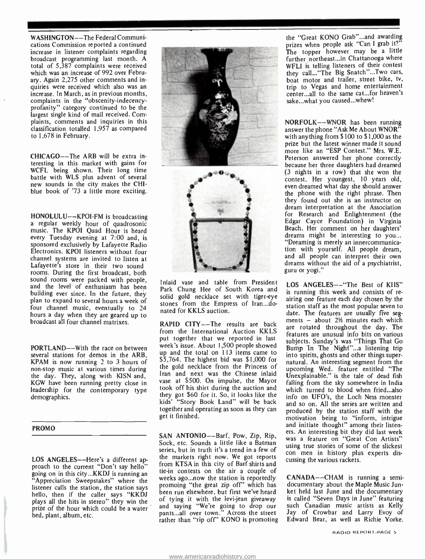WASHINGTON--The Federal Communications Commission reported a continued increase in listener complaints regarding broadcast programming last month. A total of 5,387 complaints were received which was an increase of 992 over February. Again 2,275 other comments and inquiries were received which also was an increase. In March, as in previous months, complaints in the "obscenity-indecencyprofanity" category continued to be the largest single kind of mail received. Complaints, comments and inquiries in this classification totalled 1,957 as compared to 1,678 in February.

CHICAGO--The ARB will be extra interesting in this market with gains for WCFL being shown. Their long time<br>battle with WLS plus advent of several new sounds in the city makes the CHIblue book of '73 a little more exciting.

HONOLULU--KPOI-FM is broadcasting<br>a regular weekly hour of quadrosonic music. The KPOI Quad Hour is heard every Tuesday evening at 7:00 and, is sponsored exclusively by Lafayette Radio Electronics. KPOI listeners without four channel systems are invited to listen at Lafayette's store in their two sound rooms. During the first broadcast, both sound rooms were packed with people, and the level of enthusiasm has been building ever since. In the future, they plan to expand to several hours a week of four channel music, eventually to 24 hours a day when they are geared up to broadcast all four channel matrixes.

PORTLAND---With the race on between several stations for demos in the ARB, KPAM is now running 2 to 3 hours of non -stop music at various times during the day. They, along with KISN and, KGW have been running pretty close in leadership for the contemporary type demographics.

#### PROMO

LOS ANGELES--Here's a different approach to the current "Don't say hello" going on in this city...KKDJ is running an "Appreciation Sweepstakes" where the listener calls the station, the station says hello, then if the caller says "KKDJ plays all the hits in stereo" they win the prize of the hour which could be a water bed, plant, album, etc.





Inlaid vase and table from President Park Chung Hee of South Korea and solid gold necklace set with tiger-eye stones from the Empress of Iran...donated for KKLS auction.

RAPID CITY--The results are back<br>are rotated throughout the day. The from the International Auction KKLS put together that we reported in last week's issue. About 1,500 people showed up and the total on 113 items came to \$5,764. The highest bid was \$1,000 for the gold necklace from the Princess of Iran and next was the Chinese inlaid vase at \$500. On impulse, the Mayor took off his shirt during the auction and they got \$60 for it. So, it looks like the kids' "Story Book Land" will be back together and operating as soon as they can get it finished.

SAN ANTONIO--Barf, Pow, Zip, Rip, etc. An interesting on they are last week Sock, etc. Sounds a little like a Batman series, but in truth it's a trend in a few of the markets right now. We got reports from KTSA in this city of Barf shirts and tie -in contests on the air a couple of weeks ago...now the station is reportedly promoing "the great zip off' which has been run elsewhere, but first we've heard of tying it with the levi-jean giveaway and saying "We're going to drop our pants...all over town." Across the street rather than "rip off" KONO is promoting

the "Great KONO Grab"...and awarding prizes when people ask "Can I grab it?" The topper however may be a little further northeast...in Chattanooga where WFLI is telling listeners of their contest they call... "The Big Snatch"... Two cars, boat motor and trailer, street bike, tv, trip to Vegas and home entertainment center...all to the same cat...for heaven's sake...what you caused...whew!

NORFOLK--WNOR has been running answer the phone "Ask Me About WNOR" with anything from \$100 to \$1,000 as the prize but the latest winner made it sound more like an "ESP Contest." Mrs. W.E. Peterson answered her phone correctly because her three daughters had dreamed (3 nights in a row) that she won the contest. Her youngest, 10 years old, even dreamed what day she should answer<br>the phone with the right phrase. Then they found out she is an instructor on dream interpretation at the Association for Research and Enlightenment (the Edgar Cayce Foundation) in Virginia Beach. Her comment on her daughters' dreams might be interesting to you... "Dreaming is merely an innercommunication with yourself. All people dream, and all people can interpret their own dreams without the aid of a psychiatrist, guru or yogi."

LOS ANGELES--"The Best of KIIS" is running this week and consists of re airing one feature each day chosen by the station staff as the most popular seven to date. The features are usually five segments  $-$  about 2½ minutes each which features are unusual info bits on various subjects. Sunday's was "Things That Go Bump In The Night"...a listening trip into spirits, ghosts and other things supernatural. An interesting segment from the upcoming Wed. feature entitled "The Unexplainable." is the tale of dead fish falling from the sky somewhere in India which turned to blood when fried...also info on UFO's, the Loch Ness monster and so on. All the series are written and produced by the station staff with the motivation being to "inform, intrigue and initiate thought" among their listen-<br>ers. An interesting bit they did last week<br>was a feature on "Great Con Artists" using true stories of some of the slickest con men in history plus experts discussing the various rackets.

CANADA--CHAM is running a semidocumentary about the Maple Music Junket held last June and the documentary is called "Seven Days in June" featuring such Canadian music artists as Kelly Jay of Crowbar and Larry Evoy of Edward Bear, as well as Richie Yorke.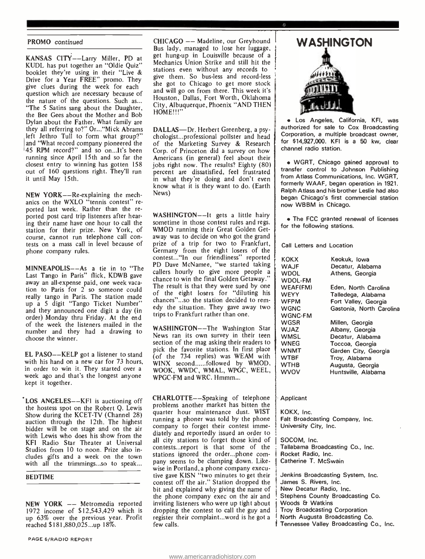#### PROMO continued

KANSAS CITY--Larry Miller, PD at KUDL has put together an "Oldie Quiz" booklet they're using in their "Live & Drive for a Year FREE" promo. They give clues during the week for each question which are necessary because of the nature of the questions. Such as... "The 5 Satins sang about the Daughter, the Bee Gees about the Mother and Bob<br>Dylan about the Father. What family are they all referring to?" Or... "Mick Abrams left Jethro Tull to form what group?" and "What record company pioneered the 45 RPM record?" and so on...It's been running since April 15th and so far the closest entry to winning has gotten 158 out of 160 questions right. They'll run it until May 15th.

NEW YORK--Re-explaining the mechanics on the WXLO "tennis contest" re-<br>ported last week. Rather than the reported post card trip listeners after hearing their name have one hour to call the station for their prize. New York, of course, cannot run telephone call con tests on a mass call in level because of phone company rules.

MINNEAPOLIS— $-As$  a tie in to "The  $\frac{PD}{cal}$ Last Tango in Paris" flick, KDWB gave away an all-expense paid, one week vacaaway an an-expense paid, one week vaca.<br>The result is that they were sued by one<br>tion to Paris for 2 so someone could really tango in Paris. The station made up a 5 digit "Tango Ticket Number" and they announced one digit a day (in order) Monday thru Friday. At the end of the week the listeners mailed in the number and they had a drawing to choose the winner.

EL PASO--KELP got a listener to stand with his hand on a new car for 73 hours, in order to win it. They started over a week ago and that's the longest anyone kept it together.

LOS ANGELES--KFI is auctioning off the hostess spot on the Robert Q. Lewis Show during the KCET -TV (Channel 28) auction through the 12th. The highest bidder will be on stage and on the air with Lewis who does his show from the KFI Radio Star Theater at Universal Studios from 10 to noon. Prize also includes gifts and a week on the town stations ignored the order...phone comwith all the trimmings...so to speak...

#### BEDTIME

NEW YORK -- Metromedia reported 1972 income of \$12,543,429 which is up 63% over the previous year. Profit reached \$181,880,025...up 18%.

CHICAGO -- Madeline, our Greyhound Bus lady, managed to lose her luggage, get hung-up in Louisville because of a Mechanics Union Strike and still hit the stations even without any records to give them. So bus -less and record -less she got to Chicago to get more stock and will go on from there. This week it's Houston, Dallas, Fort Worth, Oklahoma City, Albuquerque, Phoenix "AND THEN HOME!!!

DALLAS-Dr. Herbert Greenberg, a psychologist...professional pollster and head of the Marketing Survey & Research Corp. of Princeton did a survey on how Americans (in general) feel about their jobs right now. The results? Eighty (80) percent are dissatisfied, feel frustrated in what they're doing and don't even know what it is they want to do. (Earth News)

WASHINGTON--It gets a little hairy sometime in those contest rules and regs. WMOD running their Great Golden Getaway was to decide on who got the grand prize of a trip for two to Frankfurt, Germany from the eight losers of the contest..."In our friendliness" reported } <sub>K</sub> PD Dave McNamee, "we started taking callers hourly to give more people a chance to win the final Golden Getaway." of the eight losers for "diluting his chances"...so the station decided to remedy the situation. They gave away two trips to Frankfurt rather than one.

WASHINGTON--The Washington Star News ran its own survey in their teen section of the mag asking their readers to pick the favorite stations. In first place (of the 734 replies) was WEAM with WINX second......followed by WMOD, WOOK, WWDC, WMAL, WPGC, WEEL, WPGC -FM and WRC. Hmmm...

CHARLOTTE--Speaking of telephone problems another market has bitten the quarter hour maintenance dust. WIST running a phoner was told by the phone company to forget their contest immediately and reportedly issued an order to all city stations to forget those kind of contests...report is that some of the pany seems to be clamping down. Likewise in Portland, a phone company executive gave KISN "two minutes to get their contest off the air." Station dropped the bit and explained why giving the name of the phone company exec on the air and inviting listeners who were up tight about dropping the contest to call the guy and register their complaint...word is he got a few calls.



o

Los Angeles, California, KFI, was authorized for sale to Cox Broadcasting Corporation, a multiple broadcast owner, for \$14,927,000. KFI is a 50 kw, clear channel radio station.

WGRT, Chicago gained approval to transfer control to Johnson Publishing from Atlass Communications, Inc. WGRT, formerly WAAF, began operation in 1921. Ralph Atlass and his brother Leslie had also began Chicago's first commercial station now WBBM in Chicago.

The FCC granted renewal of licenses for the following stations.

Call Letters and Location

| <b>KOKX</b>    | Keokuk, Iowa             |
|----------------|--------------------------|
| <b>WAJF</b>    | Decatur, Alabama         |
| <b>WDOL</b>    | Athens, Georgia          |
| <b>WDOL-FM</b> |                          |
| WEAF(FM)       | Eden, North Carolina     |
| WEYY           | Talledega, Alabama       |
| <b>WFPM</b>    | Fort Valley, Georgia     |
| <b>WGNC</b>    | Gastonia, North Carolina |
| WGNC-FM        |                          |
| WGSR           | Millen, Georgia          |
| <b>WJAZ</b>    | Albany, Georgia          |
| <b>WMSL</b>    | Decatur, Alabama         |
| <b>WNEG</b>    | Toccoa, Georgia          |
| WNMT           | Garden City, Georgia     |
| WTBF           | Troy, Alabama            |
| <b>WTHB</b>    | Augusta, Georgia         |
| wvov           | Huntsville, Alabama      |
|                |                          |

Applicant

KOKX, Inc. Falt Broadcasting Company, Inc. University City, Inc.

SOCOM, Inc. Tallabama Broadcasting Co., Inc. Rocket Radio, Inc. Catherine T. McSwain

Jenkins Broadcasting System, Inc. James S. Rivers, Inc. New Decatur Radio, Inc. Stephens County Broadcasting Co. Woods & Watkins Troy Broadcasting Corporation North Augusta Broadcasting Co. Tennessee Valley Broadcasting Co., Inc.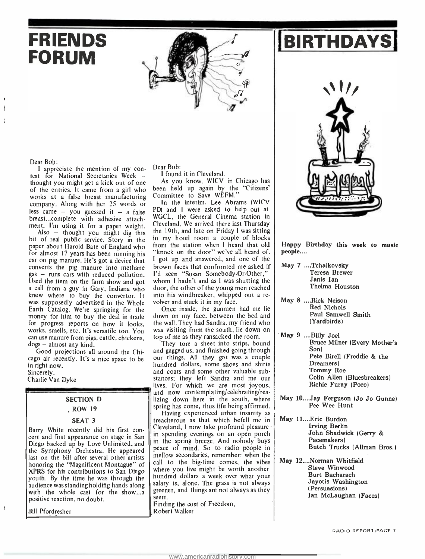



test for National Secretaries Week -<br>thought you might get a kick out of one

FORUM

of the entries. It came from a girl who works at a false breast manufacturing company. Along with her 25 words or less came  $-$  you guessed it  $-$  a false breast...complete with adhesive attachment. I'm using it for a paper weight.

Dear Bob:<br>I appreciate the mention of my con-

Also  $-$  thought you might dig this bit of real public service. Story in the paper about Harold Bate of England who<br>for almost 17 years has been running his car on pig manure. He's got a device that converts the pig manure into methane gas - runs cars with reduced pollution. Used the item on the farm show and got a call from a guy in Gary, Indiana who was supposedly advertised in the Whole Earth Catalog. We're springing for the money for him to buy the deal in trade for progress reports on how it looks, works, smells, etc. It's versatile too. You can use manure from pigs, cattle, chickens,  $dogs - almost any kind.$ 

Good projections all around the Chicago air recently. It's a nice space to be in right now. Sincerely,

#### Charlie Van Dyke

#### SECTION D

#### , ROW 19

#### SEAT 3

Barry White recently did his first con cert and first appearance on stage in San Diego backed up by Love Unlimited, and  $\|\cdot\|$ the Symphony Orchestra. He appeared  $\int_{-\infty}^{\infty}$ last on the bill after several other artists  $\mid$  <sup>me</sup> honoring the "Magnificent Montague" of XPRS for his contributions to San Diego youth. By the time he was through the audience was standing holding hands along with the whole cast for the show...a positive reaction, no doubt.

Bill Pfordresher

 $\overline{\phantom{a}}$ 

Dear Bob:

<sup>I</sup>found it in Cleveland. As you know, WICV in Chicago has been held up again by the "Citizens'

Committee to Save WEFM." In the interim, Lee Abrams (WICV PD) and I were asked to help out at WGCL, the General Cinema station in Cleveland. We arrived there last Thursday the 19th, and late on Friday I was sitting in my hotel room a couple of blocks from the station when I heard that old "knock on the door" we've all heard of. <sup>I</sup>got up and answered, and one of the brown faces that confronted me asked if I'd seen "Susan Somebody-Or-Other," whom I hadn't and as I was shutting the door, the other of the young men reached into his windbreaker, whipped out a re volver and stuck it in my face.

Once inside, the gunmen had me lie down on my face, between the bed and the wall. They had Sandra, my friend who was visiting from the south, lie down on top of me as they ransacked the room.

They tore a sheet into strips, bound and gagged us, and finished going through our things. All they got was a couple hundred dollars, some shoes and shirts and coats and some other valuable substances; they left Sandra and me our lives. For which we are most joyous, and now contemplating/celebrating/realizing down here in the south, where spring has come, thus life being affirmed.

Having experienced urban insanity as treacherous as that which befell me in Cleveland, I now take profound pleasure in spending evenings on an open porch in the spring breeze. And nobody buys peace of mind. So to radio people in mellow secondaries, remember: when the call to the big-time comes, the vibes where you live might be worth another hundred dollars a week over what your salary is, alone. The grass is not always greener, and things are not always as they seem.

Finding the cost of Freedom, Robert Walker

Happy Birthday this week to music people....

- May 7 ....Tchaikovsky Teresa Brewer Janis Ian Thelma Houston
- May 8 ....Rick Nelson Red Nichols Paul Samwell Smith (Yardbirds)
- May 9 ....Billy Joel Bruce Milner (Every Mother's Son) Pete Birell (Freddie & the Dreamers) Tommy Roe Colin Allen (Bluesbreakers) Richie Furay (Poco)
- May 10....Jay Ferguson (Jo Jo Gunne) Pee Wee Hunt
- May 11....Eric Burdon Irving Berlin John Shadwick (Gerry & Pacemakers) Butch Trucks (Allman Bros.)
- May 12....Norman Whitfield Steve Winwood Burt Bacharach Jayotis Washington (Persuasions) Ian McLaughan (Faces)

RADIO REPORT /PAGE <sup>7</sup>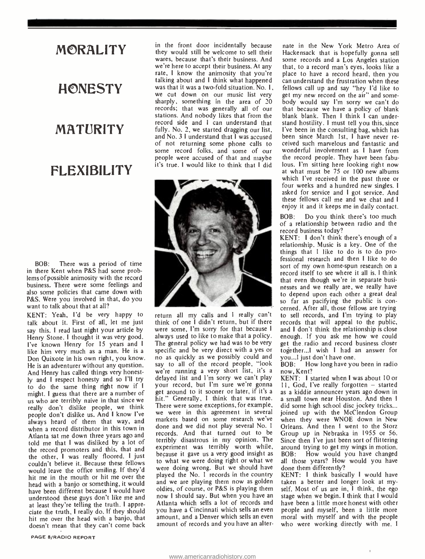#### MORALITY

# **HONESTY** MATURITY

**FLEXIBILITY** 

BOB: There was a period of time in there Kent when P&S had some problems of possible animosity with the record business. There were some feelings and also some policies that came down with P&S. Were you involved in that, do you want to talk about that at all?

KENT: Yeah, I'd be very happy to talk about it. First of all, let me just say this. I read last night your article by Henry Stone. I thought it was very good. I've known Henry for 15 years and I like him very much as a man. He is a Don Quixote in his own right, you know. He is an adventurer without any question. And Henry has called things very honestly and I respect honesty and so I'll try to do the same thing right now if I might. I guess that there are a number of<br>us who are terribly naive in that since we us who are terribly naive in that since we his<br>really don't dislike people, we think Th people don't dislike us. And I know I've always heard of them that way, and when a record distributor in this town in Atlanta sat me down three years ago and told me that I was disliked by a lot of the record promoters and this, that and the other, I was really floored. I just couldn't believe it. Because these fellows would leave the office smiling. If they'd hit me in the mouth or hit me over the head with a banjo or something, it would have been different because I would have understood these guys don't like me and at least they're telling the truth. I appreciate the truth, I really do. If they should hit me over the head with a banjo, that doesn't mean that they can't come back

in the front door incidentally because they would still be welcome to sell their wares, because that's their business. And we're here to accept their business. At any rate, I know the animosity that you're talking about and I think what happened was that it was a two-fold situation. No. 1, we cut down on our music list very get my new record on the air" and somesharply, something in the area of 20 records; that was generally all of our stations. And nobody likes that from the record side and I can understand that fully. No. 2, we started dragging our list, I've been in the consulting bag, which has and No. 3 I understand that I was accused been since March 1st. I have never reand No. 3 I understand that I was accused of not returning some phone calls to some record folks, and some of our people were accused of that and maybe the record people. They have been fabulit's true. I would like to think that I did lous. I'm sitting here looking right now it's true. I would like to think that I did



return all my calls and I really can't think of one I didn't return, but if there were some, I'm sorry for that because I always used to like to make that a policy. The general policy we had was to be very specific and be very direct with a yes or no as quickly as we possibly could and say to all of the record people, "look we're running a very short list, it's a delayed list and I'm sorry we can't play your record, but I'm sure we're gonna<br>get around to it sooner or later, if it's a hit." Generally, I think that was true. a small town near Houston. And then I There were some exceptions, for example, we were in this agreement in several markets based on some research we've done and we did not play several No. 1 records. And that turned out to be terribly disastrous in my opinion. The experiment was terribly worth while, because it gave us a very good insight as to what we were doing right or what we were doing wrong. But we should have played the No. 1 records in the country and we are playing them now as golden oldies, of course, or P&S is playing them now I should say. But when you have an Atlanta which sells a lot of records and you have a Cincinnati which sells an even amount, and a Denver which sells an even amount of records and you have an alter-

nate in the New York Metro Area of Hackensack that is hopefully gonna sell some records and a Los Angeles station that, to a record man's eyes, looks like a place to have a record heard, then you can understand the frustration when these fellows call up and say "hey I'd like to body would say I'm sorry we can't do that because we have a policy of blank blank blank. Then I think I can understand hostility. I must tell you this, since I've been in the consulting bag, which has ceived such marvelous and fantastic and wonderful involvement as I have from the record people. They have been fabuat what must be 75 or 100 new albums<br>which I've received in the past three or four weeks and a hundred new singles. I<br>asked for service and I got service. And<br>these fellows call me and we chat and I enjoy it and it keeps me in daily contact.

BOB: Do you think there's too much of a relationship between radio and the record business today?

KENT: I don't think there's enough of <sup>a</sup>relationship. Music is a key. One of the things that I like to do is to do professional research and then I like to do sort of my own home-spun research on a record itself to see where it all is. I think<br>that even though we're in separate businesses and we really are, we really have to depend upon each other a great deal so far as pacifying the public is con cerned. After all, those fellows are trying to sell records, and I'm trying to play records that will appeal to the public, and I don't think the relationship is close enough. If you ask me how we could get the radio and record business closer together...I wish I had an answer for you...I just don't have one.

BOB: How long have you been in radio now, Kent?

KENT: I started when I was about 10 or 11, God, I've really forgotten - started as a kiddie announcer years ago down in did some high school disc jockey tricks... joined up with the McClendon Group when they were WNOE down in New Orleans. And then I went to the Storz Group up in Nebraska in 1955 or 56. Since then I've just been sort of flittering around trying to get my wings in motion. BOB: How would you have changed all those years? How would you have done them differently?

KENT: I think basically I would have taken a better and longer look at myself. Most of us are in, I think, the ego stage when we begin. I think that I would have been a little more honest with other people and myself, been a little more moral with myself and with the people who were working directly with me. <sup>I</sup>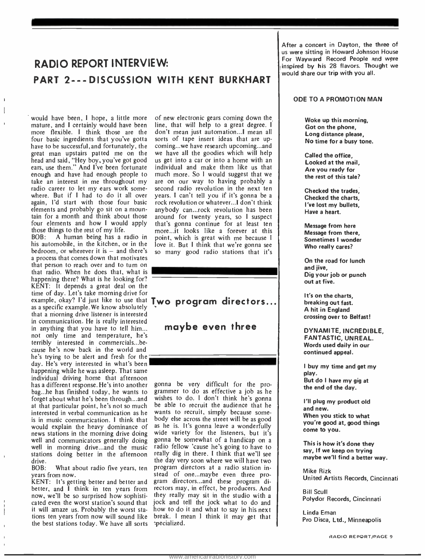#### RADIO REPORT INTERVIEW: PART 2---DISCUSSION WITH KENT BURKHART

would have been, I hope, a little more mature, and I certainly would have been more flexible. I think those are the four basic ingredients that you've gotta have to be successful, and fortunately, the great man upstairs patted me on the head and said, "Hey boy, you've got good ears, use them." And I've been fortunate enough and have had enough people to much more. So I would suggest that we take an interest in me throughout my radio career to let my ears work some where. But if I had to do it all over again, I'd start with those four basic elements and probably go sit on a mountain for a month and think about those are four elements and how I would apply

those things to the rest of my life.<br>BOB: A human being has a r A human being has a radio in his automobile, in the kitchen, or in the bedroom, or wherever it is  $-$  and there's a process that comes down that motivates that person to reach over and to turn on that radio. When he does that, what is happening there? What is he looking for? KENT: It depends a great deal on the time of day. Let's take morning drive for as a specific example. We know absolutely that a morning drive listener is interested in communication. He is really interested in anything that you have to tell him... not only time and temperature, he's terribly interested in commercials...be cause he's now back in the world and he's trying to be alert and fresh for the day. He's very interested in what's been happening while he was asleep. That same individual driving home that afternoon has a different response. He's into another bag...he has finished today, he wants to forget about what he's been through...and at that particular point, he's not so much interested in verbal communication as he is in music communication. I think that would explain the heavy dominance of news stations in the morning drive doing well and communicators generally doing well in morning drive...and the music stations doing better in the afternoon drive.<br>BOB:

What about radio five years, ten years from now.

KENT: It's getting better and better and better, and I think in ten years from now, we'll be so surprised how sophistiit will amaze us. Probably the worst stations ten years from now will sound like the best stations today. We have all sorts

of new electronic gears coming down the line, that will help to a great degree. I don't mean just automation...I mean all sorts of tape insert ideas that are upcoming...we have research upcoming...and we have all the goodies which will help us get into a car or into a home with an individual and make them like us that are on our way to having probably a second radio revolution in the next ten years. I can't tell you if it's gonna be a rock revolution or whatever...I don't think anybody can...rock revolution has been around for twenty years, so I suspect that's gonna continue for at least ten more...it looks like a forever at this point, which is great with me because I love it. But I think that we're gonna see so many good radio stations that it's

example, okay? I'd just like to use that  $Two program directions...$ maybe even three

cated even the worst station's sound that jock and tell the jock what to do and gonna be very difficult for the programmer to do as effective a job as he wishes to do. I don't think he's gonna be able to recruit the audience that he wants to recruit, simply because some body else across the street will be as good as he is. It's gonna leave a wonderfully wide variety for the listeners, but it's | gonna be somewhat of a handicap on a radio fellow 'cause he's going to have to really dig in there. I think that we'll see the day very soon where we will have two program directors at a radio station instead of one...maybe even three program directors...and these program directors may, in effect, be producers. And they really may sit in the studio with a how to do it and what to say in his next break. I mean I think it may get that pecialized.

After a concert in Dayton, the three of us were sitting in Howard Johnson House For Wayward Record People and were inspired by his 28 flavors. Thought we would share our trip with you all.

#### ODE TO A PROMOTION MAN

Woke up this morning, Got on the phone, Long distance please, No time for a busy tone.

Called the office, Looked at the mail, Are you ready for the rest of this tale?

Checked the trades, Checked the charts, I've lost my bullets, Have a heart.

Message from here Message from there, Sometimes I wonder Who really cares?

On the road for lunch and jive, Dig your job or punch out at five.

It's on the charts, breaking out fast. A hit in England crossing over to Belfast!

DYNAMITE, INCREDIBLE, FANTASTIC, UNREAL. Words used daily in our continued appeal.

<sup>I</sup>buy my time and get my play. But do I have my gig at the end of the day.

I'll plug my product old and new. When you stick to what you're good at, good things come to you.

This is how it's done they say, If we keep on trying maybe we'll find a better way.

Mike Rizk United Artists Records, Cincinnati

Bill Scull Polydor Records, Cincinnati

Linda Eman Pro Disca, Ltd., Minneapolis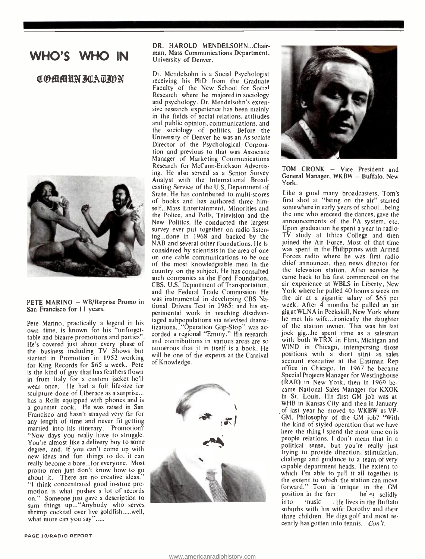#### WHO'S WHO IN

#### T®filfilliN 3EAZION



San Francisco for 11 years.

Pete Marino, practically a legend in his own time, is known for his "unforgettable and bizarre promotions and parties" He's covered just about every phase of the business including TV Shows but started in Promotion in 1952 working for King Records for \$65 a week. Pete is the kind of guy that has feathers flown in from Italy for a custom jacket he'll wear once. He had a full life-size ice sculpture done of Liberace as a surprise... has a Rolls equipped with phones and is a gourmet cook. He was raised in San Francisco and hasn't strayed very far for any length of time and never fit getting married into his itinerary. Promotion? "Now days you really have to struggle. You're almost like a delivery boy to some degree, and, if you can't come up with new ideas and fun things to do, it can really become a bore...for everyone. Most promo men just don't know how to go about it. There are no creative ideas. "I think concentrated good in -store promotion is what pushes a lot of records on." Someone just gave a description to sum things up... "Anybody who serves shrimp cocktail over live goldfish.....well, what more can you say".....

DR. HAROLD MENDELSOHN...Chairman, Mass Communications Department, University of Denver.

and the Federal Trade Commission. He<br>PETE MARINO – WB/Reprise Promo in was instrumental in developing CBS Na-Dr. Mendelsohn is a Social Psychologist receiving his PhD from the Graduate Faculty of the New School for Socia! Research where he majored in sociology and psychology. Dr. Mendelsohn's extensive research experience has been mainly in the fields of social relations, attitudes and public opinion, communications, and the sociology of politics. Before the University of Denver he was an Associate Director of thé Psychological Corporation and previous to that was Associate Manager of Marketing Communications Research for McCann -Erickson Advertising. He also served as a Senior Survey Analyst with the International Broadcasting Service of the U.S. Department of<br>State. He has contributed to multi-scores of books and has authored three himself...Mass Entertainment, Minorities and the Police, and Polls, Television and the New Politics. He conducted the largest survey ever put together on radio listening...done in 1968 and backed by the TV study at Ithica College and then<br>NAB and several other foundations. He is joined the Air Force. Most of that time NAB and several other foundations. He is considered by scientists in the area of one<br>on one cable communications to be one of the most knowledgeable men in the chief announcer, then news director for country on the subject. He has consulted the television station. After service he country on the subject. He has consulted such companies as the Ford Foundation, CBS, U.S. Department of Transportation, air experience at WBLS in Liberty, New<br>and the Federal Trade Commission, He York where he pulled 40 hours a week on was instrumental in developing CBS National Drivers Test in 1965; and his ex- perimental work in reaching disadvantaged subpopulations via televised drama-<br>tizations..."Operation Gap-Stop" was accorded a regional "Emmy." His research and contributions in various areas are so numerous that it in itself is a book. He will be one of the experts at the Carnival of Knowledge.





TOM CRONK - Vice President and General Manager, WKBW - Buffalo, New York.

Like a good many broadcasters, Tom's first shot at "being on the air" started somewhere in early years of school...being the one who emceed the dances, gave the announcements of the PA system, etc. Upon graduation he spent a year in radio-TV study at Ithica College and then was spent in the Philippines with Armed Forces radio where he was first radio chief announcer, then news director for came back to his first commercial on the air experience at WBLS in Liberty, New the air at a gigantic salary of \$65 per week. After 4 months he pulled an air gig at WLNA in Peekskill, New York where he met his wife...ironically the daughter of the station owner. This was his last jock gig...he spent time as a salesman with both WTRX in Flint, Michigan and WIND in Chicago, interspersing those positions with a short stint as sales account executive at the Eastman Rep office in Chicago. In 1967 he became Special Projects Manager for Westinghouse (RAR) in New York, then in 1969 be came National Sales Manager for KXOK in St. Louis. His first GM job was at WHB in Kansas City and then in January of last year he moved to WKBW as VP-GM. Philosophy of the GM job? "With the kind of styled operation that we have here the thing I spend the most time on is people relations. I don't mean that in a political sense, but you're really just trying to provide direction, stimulation, challenge and guidance to a team of very capable department heads. The extent to which I'm able to pull it all together is<br>the extent to which the station can move forward." Tom is unique in the GM position in the fact he st solidly into music . He lives in the Buffalo suburbs with his wife Dorothy and their three children. He digs golf and most re cently has gotten into tennis. Con't.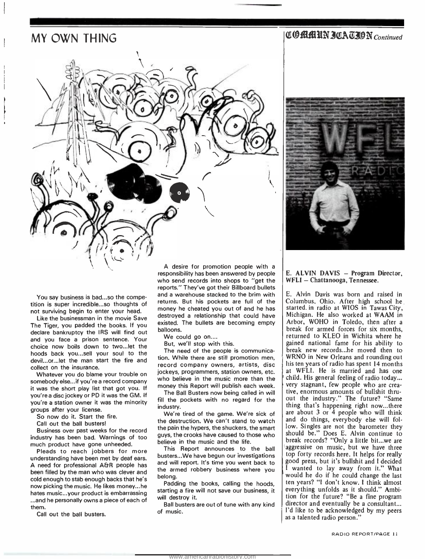#### MY OWN THING



**COMMUN JOA TJON** Continued



You say business is bad...so the competition is super incredible...so thoughts of not surviving begin to enter your head.

Like the businessman in the movie Save The Tiger, you padded the books. If you declare bankruptcy the IRS will find out and you face a prison sentence. Your choice now boils down to two...let the hoods back you...sell your soul to the devil...or...let the man start the fire and collect on the insurance.

Whatever you do blame your trouble on somebody else...if you're a record company it was the short play list that got you. If you're a disc jockey or PD it was the GM. If you're a station owner it was the minority groups after your license.

So now do it. Start the fire.

Call out the ball busters!

Business over past weeks for the record industry has been bad. Warnings of too much product have gone unheeded.

Pleads to reach jobbers for more understanding have been met by deaf ears. A need for professional A&R people has been filled by the man who was clever and cold enough to stab enough backs that he's now picking the music. He likes money...he hates music...your product is embarrassing ...and he personally owns a piece of each of

them. Call out the ball busters. responsibility has been answered by people who send records into shops to "get the reports." They've got their Billboard bullets and a warehouse stacked to the brim with returns. But his pockets are full of the money he cheated you out of and he has destroyed a relationship that could have existed. The bullets are becoming empty balloons.

We could go on....

But, we'll stop with this.

The need of the people is communication. While there are still promotion men, record company owners, artists, disc jockeys, programmers, station owners, etc. money this Report will publish each week.

The Ball Busters now being called in will fill the pockets with no regard for the industry.

We're tired of the game. We're sick of the destruction. We can't stand to watch the pain the hypers, the shuckers, the smart guys, the crooks have caused to those who sphere is the weak records? "Only a little bit...we are general behind the life. believe in the music and the life.

This Report announces to the ball busters...We have begun our investigations and will report. It's time you went back to the armed robbery business where you belong.

Padding the books, calling the hoods, starting a fire will not save our business, it will destroy it.

Ball busters are out of tune with any kind of music.

#### E. ALVIN DAVIS - Program Director, WFLI - Chattanooga, Tennessee.

who believe in the music more than the  $\parallel$  child. His general feeling of radio today...<br>money this Report will publish each week.  $\parallel$  very stagnant, few people who are crea-E. Alvin Davis was born and raised in Columbus, Ohio. After high school he started in radio at WIOS in Tawas City, Michigan. He also worked at WAAM in Arbor, WOHO in Toledo, then after a break for armed forces for six months, returned to KLEO in Wichita where he gained national fame for his ability to break new records...he moved then to WRNO in New Orleans and rounding out his ten years of radio has spent 14 months at WFLI. He is married and has one child. His general feeling of radio today... very stagnant, few people who are crea- tive, enormous amounts of bullshit thruout the industry." The future? "Same thing that's happening right now...there are about 3 or 4 people who will think and do things, everybody else will follow. Singles are not the barometer they should be." Does E. Alvin continue to aggressive on music, but we have three top forty records here. It helps for really good press, but it's bullshit and I decided <sup>I</sup>wanted to lay away from it." What would he do if he could change the last ten years? "I don't know. I think almost everything unfolds as it should." Ambition for the future? "Be a fine program director and eventually be a consultant... I'd like to be acknowledged by my peers as a talented radio person."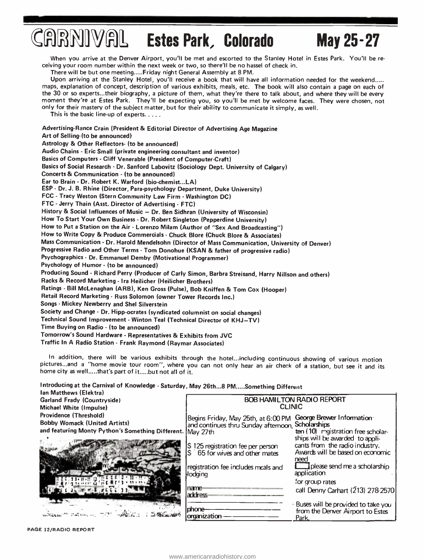# $JFRNIVAL$  Estes Park, Colorado May 25-27

When you arrive at the Denver Airport, you'll be met and escorted to the Stanley Hotel in Estes Park. You'll be re ceiving your room number within the next week or two, so there'll be no hassel of check in.

There will be but one meeting..... Friday night General Assembly at 8 PM.

Upon arriving at the Stanley Hotel, you'll receive a book that will have all information needed for the weekend..... maps, explanation of concept, description of various exhibits, meals, etc. The book will also contain a page on each of the 30 or so experts...their biography, a picture of them, what they're there to talk about, and where they will be every moment they're at Estes Park. They'll be expecting you, so you'll be met by welcome faces. They were chosen, not only for their mastery of the subject matter, but for their ability to communicate it simply, as well.

This is the basic line-up of experts.  $\dots$ .

Advertising -Rance Crain (President & Editorial Director of Advertising Age Magazine Art of Selling-(to be announced) Astrology & Other Reflectors- (to be announced) Audio Chains - Eric Small (private engineering consultant and inventor) Basics of Computers - Cliff Venerable (President of Computer -Craft) Basics of Social Research - Dr. Sanford Labovitz (Sociology Dept. University of Calgary) Concerts & Communication - (to be announced) Ear to Brain - Dr. Robert K. Warford (bio-chemist...LA) ESP - Dr. J. B. Rhine (Director, Para-psychology Department, Duke University) FCC - Tracy Weston (Stern Community Law Firm - Washington DC) FTC - Jerry Thain (Asst. Director of Advertising - FTC) History & Social Influences of Music - Dr. Ben Sidhran (University of Wisconsin) How To Start Your Own Business - Dr. Robert Singleton (Pepperdine University) How to Put a Station on the Air - Lorenzo Milam (Author of "Sex And Broadcasting ") How to Write Copy & Produce Commercials - Chuck Blore (Chuck Blore & Associates) Mass Communication - Dr. Harold Mendelsohn (Director of Mass Communication, University of Denver) Progressive Radio and Other Terms - Tom Donohue (KSAN & father of progressive radio) Psychographics - Dr. Emmanuel Demby (Motivational Programmer) Psychology of Humor - (to be announced) Producing Sound - Richard Perry (Producer of Carly Simon, Barbra Streisand, Harry Nillson and others) Racks & Record Marketing - Ira Heilicher ( Heilicher Brothers) Ratings - Bill McLenaghan (ARB), Ken Gross (Pulse), Bob Kniffen & Tom Cox (Hooper)<br>Retail Record Marketing - Russ Solomon (owner Tower Records Inc.) Songs - Mickey Newberry and Shel Silverstein Society and Change - Dr. Hipp-ocrates (syndicated columnist on social changes) Technical Sound Improvement - Winton Teal (Technical Director of KHJ-TV) Time Buying on Radio - (to be announced) Tomorrow's Sound Hardware - Representatives & Exhibits from JVC Traffic In A Radio Station - Frank Raymond (Raymar Associates)

In addition, there will be various exhibits through the hotel...including continuous showing of various motion<br>pictures...and a "home movie tour room", where you can not only hear an air check of a station, but see it and home city as well.....that's part of it .....but not all of it.

Introducing at the Carnival of Knowledge - Saturday, May 26th...8 PM.....Something Different Ian Matthews (Elektra) BOB HAMILTON RADIO REPORT Garland Frady (Countryside) CLINIC Michael White (Impulse) Providence (Threshold) Begins Friday, May 25th, at 6:00 PM George Brewer Information Bobby Womack (United Artists) and continues thru Sunday afternoon, Scholarships and featuring Monty Python's Something Different. May 27th ten (10) registration free scholarships will be awarded to appli-S 125 registration fee per person cants from the radio industry. Awards will be based on economic<br>need 65 for wives and other mates I please send me a scholarship registration fee includes meals and 4Yt.e,1/1111w L%74ÿ <sup>71</sup>';I t C ' 1 'l ih I;Ar 11 <sup>i</sup>r 1 n application lodging for group rates<br>call Denny Carhart (213) 278-2570  $C_1$  . The  $\mathcal{C}_1$  retails  $\mathcal{C}_2$ name address phone Buses<br>
organization - phone Park, Buses will be provided to take you phone- from the Denver Airport to Estes  $\begin{picture}(20,20) \put(0,0){\vector(0,1){30}} \put(15,0){\vector(0,1){30}} \put(15,0){\vector(0,1){30}} \put(15,0){\vector(0,1){30}} \put(15,0){\vector(0,1){30}} \put(15,0){\vector(0,1){30}} \put(15,0){\vector(0,1){30}} \put(15,0){\vector(0,1){30}} \put(15,0){\vector(0,1){30}} \put(15,0){\vector(0,1){30}} \put(15,0){\vector(0,1){30}} \put(15,0){\vector(0$ millen <sup>ar y</sup> Hofma, ... **August CONSCRIPTION** 

PAGE 12/RADIO REPORT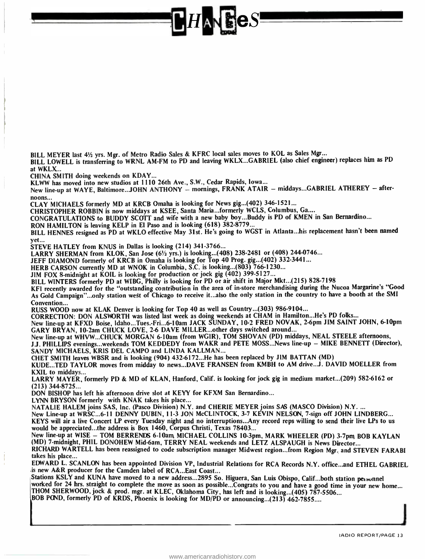BILL MEYER last 41/2 yrs. Mgr. of Metro Radio Sales & KFRC local sales moves to KOL as Sales Mgr... BILL LOWELL is transferring to WRNL AM -FM to PD and leaving WKLX...GABRIEL (also chief engineer) replaces him as PD

at WKLX..

CHINA SMITH doing weekends on KDAY...

KLWW has moved into new studios at 1110 26th Ave., S.W., Cedar Rapids, Iowa...

New line-up at WAYE, Baltimore...JOHN ANTHONY - mornings, FRANK ATAIR - middays...GABRIEL ATHEREY - after-<br>noons...

CLAY MICHAELS formerly MD at KRCB Omaha is looking for News gig...(402) 346- 1521...

CHRISTOPHER ROBBIN is now middays at KSEE, Santa Maria...formerly WCLS, Columbus, Ga....

CONGRATULATIONS to BUDDY SCOTT and wife with a new baby boy...Buddy is PD of KMEN in San Bernardino...

RON HAMILTON is leaving KELP in El Paso and is looking (618) 382-8779...

BILL HENNES resigned as PD at WKLO effective May 31st. He's going to WGST in Atlanta...his replacement hasn't been named yet...

STEVE HATLEY from KNUS in Dallas is looking (214) 341 -3766...

LARRY SHERMAN from KLOK, San Jose (6<sup>1/2</sup> yrs.) is looking...(408) 238-2481 or (408) 244-0746...

JEFF DIAMOND formerly of KRCB in Omaha is looking for Top 40 Prog. gig...(402) 332 -3441...

HERB CARSON currently MD at WNOK in Columbia, S.C. is looking...(803) 766 -1230...

JIM FOX 8-midnight at KOIL is looking for production or jock gig (402) 399-5127...

BILL WINTERS formerly PD at WIBG, Philly is looking for PD or air shift in Major Mkt...(215) 828 -7198

KFI recently awarded for the "outstanding contribution in the area of in-store merchandising during the Nucoa Margarine's "Good As Gold Campaign"...only station west of Chicago to receive it...also the only station in the country to have a booth at the SMI Convention...

RUSS WOOD now at KLAK Denver is looking for Top 40 as well as Country...(303) 986 -9104...

CORRECTION: DON ALSNORTH was listed last week as doing weekends at CHAM in Hamilton...He's PD folks...

New line -up at KFXD Boise, Idaho...Tues: Fri...6 -loam JACK SUNDAY, 10 -2 FRED NOVAK, 2-6pm JIM SAINT JOHN, 6 -10pm GARY BRYAN, 10 -2am CHUCK LOVE, 2-6 DAVE MILLER...other days switched around...

New line -up at WHVW...CHUCK MORGAN 6 -l0am (from WGIR), TOM SHOVAN (PD) middays, NEAL STEELE afternoons, Ji. PHILLIPS evenings...weekends TOM KEDDEDY from WAKR and PETE MOSS...News line -up - MIKE BENNETT (Director), SANDY MICHAELS, KRIS DEL CAMPO and LINDA KALLMAN...

CHET SMITH leaves WBSR and is looking (904) 432- 6172...He has been replaced by JIM BATTAN (MD)

KUDE...TED TAYLOR moves from midday to news...DAVE FRANSEN from KMBH to AM drive...J. DAVID MOELLER from KXIL to middays...

LARRY MAYER, formerly PD & MD of KLAN, Hanford, Calif. is looking for jock gig in medium market...(209) 582 -6162 or  $(213)$  344-8725...

DON BISHOP has left his afternoon drive slot at KEYY for KFXM San Bernardino...

LYNN BRYSON formerly with KNAK takes his place...

NATALIE HALEM joins SAS, Inc. (Pasco Division) N.Y. and CHERIE MEYER joins SAS (MASCO Division) N.Y....

New Line -up at WRSC...6 -11 DENNY DUBIN, 11 -3 JON McCLINTOCK, 3 -7 KEVIN NELSON, 7 -sign off JOHN LINDBERG... KEYS will air a live Concert LP every Tuesday night and no interruptions...Any record reps willing to send their live LPs to us would be appreciated...the address is Box 1460, Corpus Christi, Texas 78403...

New line-up at WISE - TOM BERRENDS 6-10am, MICHAEL COLLINS 10-3pm, MARK WHEELER (PD) 3-7pm BOB KAYLAN (MD) 7-midnight, PHIL DONOHEW Mid-6am, TERRY NEAL weekends and LETZ ALSPAUGH is News Director... RICHARD WARTELL has been reassigned to code subscription manager Midwest region...from Region Mgr. and STEVEN FARABI takes his place...

EDWARD L. SCANLON has been appointed Division VP, Industrial Relations for RCA Records N.Y. office...and ETHEL GABRIEL is new A&R producer for the Camden label of RCA...East Coast...<br>Stations KSLY and KUNA have moved to a new address...2895 So. Higuera, San Luis Obispo, Calif...both station personnel

worked for 24 hrs. straight to complete the move as soon as possible... Congrats to you and have a good time in your new home... THOM SHERWOOD, jock & prod. mgr. at KLEC, Oklahoma City, has left and is looking...(405) 787 -5506... BOB POND, formerly PD of KRDS, Phoenix is looking for MD/PD or announcing...(213) 462-7855....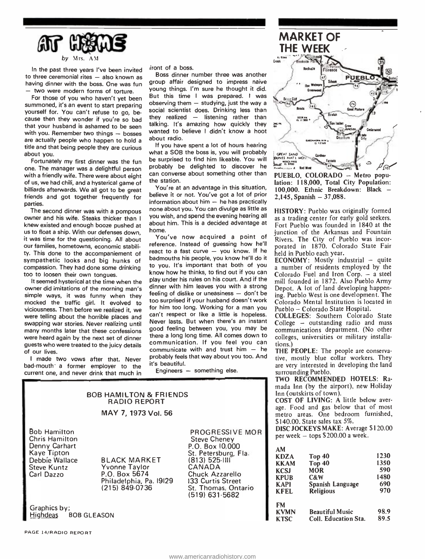

by Mrs AM

In the past three years I've been invited<br>to three ceremonial rites - also known as having dinner with the boss. One was fun - two were modern forms of torture.

For those of you who haven't yet been summoned, it's an event to start preparing<br>yourself for. You can't refuse to go, because then they wonder if you're so bad that your husband is ashamed to be seen with you. Remember two things  $-$  bosses are actually people who happen to hold a title and that being people they are curious about you.

Fortunately my first dinner was the fun one. The manager was a delightful person with a friendly wife. There were about eight of us, we had chili, and a hysterical game of billiards afterwards. We all got to be great friends and got together frequently for parties.

The second dinner was with a pompous owner and his wife. Steaks thicker than I knew existed and enough booze pushed at us to float a ship. With our defenses down, it was time for the questioning. All about our families, hometowns, economic stability. This done to the accompaniement of sympathetic looks and big hunks of compassion. They had done some drinking too to loosen their own tongues.

It seemed hysterical at the time when the owner did imitations of the morning man's simple ways, it was funny when they mocked the traffic girl. It evolved to viciousness. Then before we realized it, we were telling about the horrible places and swapping war stories. Never realizing until many months later that these confessions were heard again by the next set of dinner guests who were treated to the juicy details of our lives.

<sup>I</sup>made two vows after that. Never bad-mouth a former employer to the current one, and never drink that much in iront of a boss.

Boss dinner number three was another group affair designed to impress naive young things. I'm sure he thought it did. But this time I was prepared. I was observing them  $-$  studying, just the way a social scientist does. Drinking less than they realized - listening rather than<br>talking. It's amazing how quickly they  $\mathbb{R}^m$ talking. It's amazing how quickly they wanted to believe I didn't know a hoot about radio.

If you have spent a lot of hours hearing what a SOB the boss is, you will probably  $\frac{1}{10}$  GREAT SAND be surprised to find him likeable. You will probably be delighted to discover he can converse about something other than the station.

You're at an advantage in this situation, believe it or not. You've got a lot of prior information about him  $-$  he has practically none about you. You can divulge as little as you wish, and spend the evening hearing all about him. This is a decided advantage at home.

You've now acquired a point of reference. Instead of guessing how he'll react to a fast curve  $-$  you know. If he badmouths his people, you know he'll do it to you. It's important that both of you know how he thinks, to find out if you can play under his rules on his court. And if the dinner with him leaves you with a strong feeling of dislike or uneasiness  $-$  don't be too surprised if your husband doesn't work for him too long. Working for a man you can't respect or like a little is hopeless. Never lasts. But when there's an instant College – outstanding radio and mass good feeling between you, you may be there a long long time. All comes down to communication. If you feel you can communicate with and trust him  $-$  he probably feels that way about you too. And it's beautiful.

Engineers  $-$  something else.

|                                                                                                                                    | <b>BOB HAMILTON &amp; FRIENDS</b><br><b>RADIO REPORT</b><br>MAY 7, 1973 Vol. 56                           |                                                                                                                                                                                                 | m<br>Ir<br>$\mathbf C$<br>ag<br>m              |
|------------------------------------------------------------------------------------------------------------------------------------|-----------------------------------------------------------------------------------------------------------|-------------------------------------------------------------------------------------------------------------------------------------------------------------------------------------------------|------------------------------------------------|
| <b>Bob Hamilton</b><br><b>Chris Hamilton</b><br>Denny Carhart<br>Kaye Tipton<br>Debbie Wallace<br><b>Steve Kuntz</b><br>Carl Dazzo | <b>BLACK MARKET</b><br><b>Yvonne Taylor</b><br>P.O. Box 5674<br>Philadelphia, Pa. 19129<br>(215) 849-0736 | PROGRESSIVE MOR<br><b>Steve Cheney</b><br>P.O. Box 10,000<br>St. Petersburg, Fla.<br>$(813)$ 525-111<br>CANADA<br>Chuck Azzarello<br>133 Curtis Street<br>St. Thomas, Ontario<br>(519) 631-5682 | s<br>D<br>p<br>A<br>K<br>K<br>K<br>K<br>K<br>K |
| Graphics by:<br>Highdeas BOB GLEASON                                                                                               |                                                                                                           |                                                                                                                                                                                                 | F<br>K                                         |



PUEBLO, COLORADO - Metro population: 118,000, Total City Population: 100,000. Ethnic Breakdown: Black -2,145, Spanish - 37,088.

HISTORY: Pueblo was originally formed as a trading center for early gold seekers. Fort Pueblo was founded in 1840 at the junction of the Arkansas and Fountain Rivers. The City of Pueblo was incorporated in 1870. Colorado State Fair held in Pueblo each year.

ECONOMY: Mostly industrial  $-$  quite a number of residents employed by the Colorado Fuel and Iron Corp. - a steel mill founded in 1872. Also Pueblo Army Depot. A lot of land developing happening. Pueblo West is one development. The Colorado Mental Institution is located in Pueblo -- Colorado State Hospital.

COLLEGES: Southern Colorado State communications department. (No other colleges, universities or military installations.)

THE PEOPLE: The people are conserva tive, mostly blue collar workers. They are very interested in developing the land surrounding Pueblo.

TWO RECOMMENDED HOTELS: Ramada Inn (by the airport), new Holiday Inn (outskirts of town).

COST OF LIVING: A little below aver age. Food and gas below that of most metro areas. One bedroom furnished, \$140.00. State sales tax  $5\%$ .

DISC JOCKEYS MAKE: Average <sup>S</sup>1 20.00 per week  $-$  tops \$200.00 a week.

| Top <sub>40</sub>      | 1230                              |
|------------------------|-----------------------------------|
|                        | 1350                              |
| <b>MOR</b>             | 590                               |
| C&W                    | 1480                              |
|                        | 690                               |
| <b>Religious</b>       | 970                               |
|                        |                                   |
| <b>Beautiful Music</b> | 98.9                              |
| Coll. Education Sta.   | 89.5                              |
|                        | <b>Top 40</b><br>Spanish Language |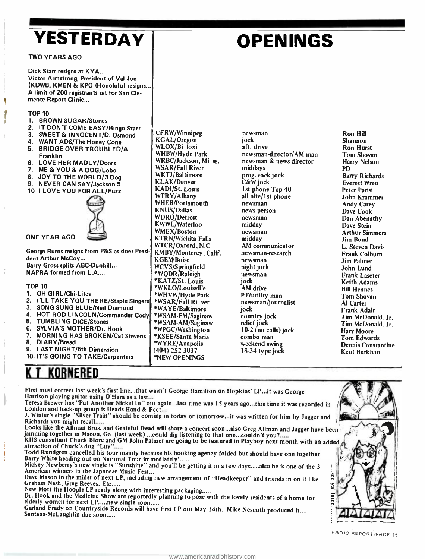# YESTERDAY

TWO YEARS AGO

# OPENINGS

Dick Starr resigns at KYA... Victor Armstrong, President of Val-Jon (KDWB, KMEN & KPO (Honolulu) resigns... A limit of 200 registrants set for San Clemente Report Clinic...

#### **TOP 10**

- 1. BROWN SUGAR/Stones<br>2. IT DON'T COME EASY/
- 2. IT DON'T COME EASY/Ringo Starr<br>3. SWEET & INNOCENT/D. Osmond
- SWEET & INNOCENT/D. Osmond
- 4. WANT ADS/The Honey Cone
- 5. BRIDGE OVER TROUBLED/A. Franklin
- 6. LOVE HER MADLY /Doors
- 7. ME & YOU & A DOG /Lobo
- 8. JOY TO THE WORLD/3 Dog
- 9. NEVER CAN SAY/Jackson 5
- 10 I LOVE YOU FOR ALL/Fuzz



ONE YEAR AGO

George Burns resigns from P&S as does President Arthur McCoy... Barry Gross splits ABC -Dunhill... NAPRA formed from L.A....

#### TOP 10

- 1. OH GIRL/Chi-Lites 2. I'LL TAKE YOU THERE/Staple Singers | \*WSAR/Fall Ri ver 3. SONG SUNG BLUE /Neil Diamond 4. HOT ROD LINCOLN/Commander Cody<br>5. TUMBLING DICE/Stones 5. TUMBLING DICE/Stones 6. SYLVIA'S MOTHER/Dr. Hook<br>7. MORNING HAS BROKEN/Cat **MORNING HAS BROKEN/Cat Stevens** 8. DIARY /Bread 9. LAST NIGHT/5th Dimension
- 10. IT'S GOING TO TAKE /Carpenters

# KORNERED

First must correct last week's first line...that wasn't George Hamilton on Hopkins' LP...it was George Harrison playing guitar using O'Hara as a last...

Teresa Brewer has "Put Another Nickel In" out again...last time was 15 years ago...this time it was recorded in<br>London and back up group is Heads Hand & Feet...<br>J. Winter's single "Silver Train" should be coming in today o

LFRW /Winnipeg KGAL/Oregon WLOX/Bi loxi WHBW/Hyde Park WRBC/Jackson, Mi ss. WSAR/Fall River WKTJ /Baltimore KLAK/Denver KADI/St. Louis WTRY/Albany WHEB/Portsmouth KNUS/Dallas WDRQ/Detroit KWWL/Waterloo WMEX/Boston KTRN/Wichita Falls WTCR/Oxford, N.C. KMBY/Monterey, Calif.

**KGEM/Boise** WCVS/Springfield \*WQDR /Raleigh \*KATZ/St. Louis \*WKLO /Louisville \*WHVW /Hyde Park

\*WAYE/Baltimore \*WSAM-FM/Saginaw \*WSAM -AM /Saginaw \*WPGC /Washington \*KSEE /Santa Maria \*WYRE /Anapolis (404) 252 -3037 \*NEW OPENINGS

J. Winter's single "Silver Train" should be coming in today or tomorrow...it was written for him by Jagger and  $\Big\{$ 

Looks like the Allman Bros. and Grateful Dead will share a concert soon...also Greg Allman and Jagger have been<br>jamming together in Macon, Ga. (last week) ...could dig listening to that one...couldn't you?.....<br>KIIS consul

Todd Rundgren cancelled his tour mainly because his booking agency folded but should have one together Barry White heading out on National Tour immediately' Mickey Newberry's new single is "Sunshine" and you'll be getting it in a few days also he is one of the <sup>3</sup>American winners in the Japanese Music Fest...

Dave Mason in the midst of next LP, including new arrangement of "Headkeeper" and friends in on it like Graham Nash, Greg Reeves, Etc.....<br>Graham Nash, Greg Reeves, Etc.....<br>New Mott the Hoople LP ready along with interest

Dr. Hook and the Medicine Show are reportedly planning to pose with the lovely residents of a home for elderly women for next LP.....new single soon.....<br>Garland Frady on Countryside Records will have first LP out May 14th

jock<br>aft. drive newsman-director/AM man<br>newsman & news director middays prog. rock jock C&W jock 1st phone Top 40 all nite/1st phone<br>newsman news person newsman midday newsman midday AM communicator newsman -research newsman night jock newsman jock .<br>AM drive<br>PT/utility man newsman/journalist jock country jock relief jock 10-2 (no calls) jock<br>combo man weekend swing 18-34 type jock

newsman

Ron Hill Shannon Ron Hurst Tom Shovan Harry Nelson PD Barry Richards Everett Wren Peter Parisi John Krammer Andy Carey Dave Cook Dan Abenathy Dave Stein Arthur Simmers Jim Bond L. Steven Davis Frank Colburn Jim Palmer John Lund Frank Laseter Keith Adams Bill Hennes Tom Shovan Al Carter Frank Adair Tim McDonald, Jr. Tim McDonald, Jr. Hary Moore Tom Edwards Dennis Constantine Kent Burkhart

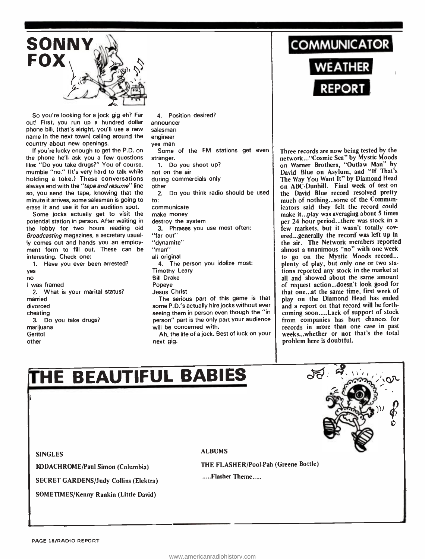

So you're looking for a jock gig eh? Far out! First, you run up a hundred dollar phone bill, (that's alright, you'll use a new name in the next town) calling around the country about new openings.

If you're lucky enough to get the P.D. on the phone he'll ask you a few questions like: "Do you take drugs?" You of course, mumble "no." (It's very hard to talk while holding a toke.) These conversations always end with the "tape and resume" line so, you send the tape, knowing that the minute it arrives, some salesman is going to erase it and use it for an audition spot.

Some jocks actually get to visit the potential station in person. After waiting in the lobby for two hours reading old Broadcasting magazines, a secretary usually comes out and hands you an employment form to fill out. These can be interesting. Check one:

1. Have you ever been arrested? yes no <sup>I</sup>was framed 2. What is your marital status? married divorced cheating 3. Do you take drugs? marijuana **Geritol** other

4. Position desired? announcer salesman engineer yes man stranger. 1. Do you shoot up? not on the air during commercials only other 2. Do you think radio should be used to: communicate make money destroy the system 3. Phrases you use most often: "far out" "dynamite" "man" all original 4. The person you idolize most: Timothy Leary Bill Drake Popeye Jesus Christ The serious part of this game is that some P.D.'s actually hire jocks without ever seeing them in person even though the "in person" part is the only part your audience

will be concerned with. Ah, the life of a jock. Best of luck on your next gig.

**COMMUNICATOR** 

WEATHER **A** REPORT

Some of the FM stations get even | Three records are now being tested by the ranger. Three records are now being tested by the on Warner Brothers, "Outlaw Man" by David Blue on Asylum, and "If That's The Way You Want It" by Diamond Head on ABC -Dunhill. Final week of test on the David Blue record resolved pretty much of nothing...some of the Communicators said they felt the record could make it...play was averaging about 5 times per 24 hour period...there was stock in a few markets, but it wasn't totally cov ered...generally the record was left up in the air. The Network members reported almost a unanimous "no" with one week to go on the Mystic Moods record... plenty of play, but only one or two stations reported any stock in the market at all and showed about the same amount of request action...doesn't look good for that one...at the same time, first week of play on the Diamond Head has ended and a report on that record will be forthcoming soon.....Lack of support of stock from companies has hurt chances for records in more than one case in past weeks...whether or not that's the total problem here is doubtful.

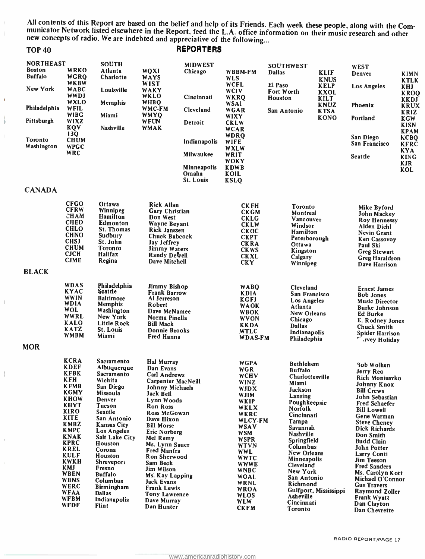All contents of this Report are based on the belief and help of its Friends. Each week these people, along with the Com-<br>municator Network listed elsewhere in the Report, feed the L.A. office information on their music res new concepts of radio. We are indebted and appreciative of the following...

| <b>TOP 40</b>                                       |                                                                                                                                                                                                                                                                                                                                       |                                                                                                                                                                                                                                                                                                                                                           |                                                                                                                                                                                                                                                                                                                                                                                                     | <b>REPORTERS</b>                         |                                                                                                                                                                                                                                                                                                      |                                                                                                                                                                                                                                                                                                         |                                           |                                                                                                                                                                                                                                                                                                                                                                                                                                      |                                           |
|-----------------------------------------------------|---------------------------------------------------------------------------------------------------------------------------------------------------------------------------------------------------------------------------------------------------------------------------------------------------------------------------------------|-----------------------------------------------------------------------------------------------------------------------------------------------------------------------------------------------------------------------------------------------------------------------------------------------------------------------------------------------------------|-----------------------------------------------------------------------------------------------------------------------------------------------------------------------------------------------------------------------------------------------------------------------------------------------------------------------------------------------------------------------------------------------------|------------------------------------------|------------------------------------------------------------------------------------------------------------------------------------------------------------------------------------------------------------------------------------------------------------------------------------------------------|---------------------------------------------------------------------------------------------------------------------------------------------------------------------------------------------------------------------------------------------------------------------------------------------------------|-------------------------------------------|--------------------------------------------------------------------------------------------------------------------------------------------------------------------------------------------------------------------------------------------------------------------------------------------------------------------------------------------------------------------------------------------------------------------------------------|-------------------------------------------|
| <b>NORTHEAST</b><br><b>Boston</b><br><b>Buffalo</b> | WRKO<br>WGRQ<br>WKBW                                                                                                                                                                                                                                                                                                                  | <b>SOUTH</b><br>Atlanta<br>Charlotte                                                                                                                                                                                                                                                                                                                      | <b>WQXI</b><br>WAYS<br><b>WIST</b>                                                                                                                                                                                                                                                                                                                                                                  | <b>MIDWEST</b><br>Chicago                | <b>WBBM-FM</b><br><b>WLS</b><br><b>WCFL</b>                                                                                                                                                                                                                                                          | <b>SOUTHWEST</b><br><b>Dallas</b><br>El Paso                                                                                                                                                                                                                                                            | <b>KLIF</b><br><b>KNUS</b><br><b>KELP</b> | <b>WEST</b><br><b>Denver</b><br>Los Angeles                                                                                                                                                                                                                                                                                                                                                                                          | <b>KIMN</b><br><b>KTLK</b><br><b>KHJ</b>  |
| New York                                            | <b>WABC</b><br><b>WWDJ</b><br><b>WXLO</b>                                                                                                                                                                                                                                                                                             | Louisville                                                                                                                                                                                                                                                                                                                                                | WAKY<br>WKLO<br><b>WHBQ</b>                                                                                                                                                                                                                                                                                                                                                                         | Cincinnati                               | <b>WCIV</b><br>WKRQ                                                                                                                                                                                                                                                                                  | Fort Worth<br>Houston                                                                                                                                                                                                                                                                                   | <b>KXOL</b><br><b>KILT</b>                |                                                                                                                                                                                                                                                                                                                                                                                                                                      | <b>KROQ</b><br><b>KKDJ</b>                |
| Philadelphia                                        | WFIL<br><b>WIBG</b>                                                                                                                                                                                                                                                                                                                   | <b>Memphis</b><br>Miami                                                                                                                                                                                                                                                                                                                                   | WMC-FM<br><b>WMYQ</b>                                                                                                                                                                                                                                                                                                                                                                               | Cleveland                                | <b>WSA1</b><br><b>WGAR</b><br>WIXY                                                                                                                                                                                                                                                                   | San Antonio                                                                                                                                                                                                                                                                                             | KNUZ<br><b>KTSA</b>                       | Phoenix                                                                                                                                                                                                                                                                                                                                                                                                                              | <b>KRUX</b><br><b>KRIZ</b>                |
| Pittsburgh                                          | WIXZ<br>KQV                                                                                                                                                                                                                                                                                                                           | Nashville                                                                                                                                                                                                                                                                                                                                                 | <b>WFUN</b><br><b>WMAK</b>                                                                                                                                                                                                                                                                                                                                                                          | Detroit                                  | <b>CKLW</b><br><b>WCAR</b>                                                                                                                                                                                                                                                                           |                                                                                                                                                                                                                                                                                                         | KONO                                      | Portland                                                                                                                                                                                                                                                                                                                                                                                                                             | <b>KGW</b><br><b>KISN</b>                 |
| Toronto                                             | 13Q<br><b>CHUM</b>                                                                                                                                                                                                                                                                                                                    |                                                                                                                                                                                                                                                                                                                                                           |                                                                                                                                                                                                                                                                                                                                                                                                     | Indianapolis                             | <b>WDRO</b><br>WIFE                                                                                                                                                                                                                                                                                  |                                                                                                                                                                                                                                                                                                         |                                           | San Diego<br>San Francisco                                                                                                                                                                                                                                                                                                                                                                                                           | <b>KPAM</b><br><b>KCBQ</b><br><b>KFRC</b> |
| Washington                                          | <b>WPGC</b><br><b>WRC</b>                                                                                                                                                                                                                                                                                                             |                                                                                                                                                                                                                                                                                                                                                           |                                                                                                                                                                                                                                                                                                                                                                                                     | Milwaukee                                | <b>WXLW</b><br>WRIT                                                                                                                                                                                                                                                                                  |                                                                                                                                                                                                                                                                                                         |                                           | <b>Seattle</b>                                                                                                                                                                                                                                                                                                                                                                                                                       | <b>KYA</b><br><b>KING</b>                 |
|                                                     |                                                                                                                                                                                                                                                                                                                                       |                                                                                                                                                                                                                                                                                                                                                           |                                                                                                                                                                                                                                                                                                                                                                                                     | Minneapolis<br>Omaha<br><b>St. Louis</b> | <b>WOKY</b><br><b>KDWB</b><br>KOIL<br><b>KSLQ</b>                                                                                                                                                                                                                                                    |                                                                                                                                                                                                                                                                                                         |                                           |                                                                                                                                                                                                                                                                                                                                                                                                                                      | <b>KJR</b><br>KOL                         |
| <b>CANADA</b>                                       |                                                                                                                                                                                                                                                                                                                                       |                                                                                                                                                                                                                                                                                                                                                           |                                                                                                                                                                                                                                                                                                                                                                                                     |                                          |                                                                                                                                                                                                                                                                                                      |                                                                                                                                                                                                                                                                                                         |                                           |                                                                                                                                                                                                                                                                                                                                                                                                                                      |                                           |
|                                                     | <b>CFGO</b><br><b>CFRW</b><br>CHAM<br><b>CHED</b><br><b>CHLO</b><br><b>CHNO</b><br><b>CHSJ</b><br><b>CHUM</b><br><b>CJCH</b><br><b>CJME</b>                                                                                                                                                                                           | Ottawa<br>Winnipeg<br>Hamilton<br>Edmonton<br><b>St. Thomas</b><br>Sudbury<br>St. John<br>Toronto<br>Halifax<br>Regina                                                                                                                                                                                                                                    | Rick Allan<br>Gary Christian<br>Don West<br>Wayne Beyant<br><b>Rick Janssen</b><br><b>Chuck Babcock</b><br><b>Jay Jeffrey</b><br>Jimmy Waters<br>Randy Dewell<br>Dave Mitchell                                                                                                                                                                                                                      |                                          | <b>CKFH</b><br><b>CKGM</b><br><b>CKLG</b><br><b>CKLW</b><br><b>CKOC</b><br><b>CKPT</b><br><b>CKRA</b><br><b>CKWS</b><br><b>CKXL</b><br><b>CKY</b>                                                                                                                                                    | <b>Toronto</b><br>Montreal<br>Vancouver<br>Windsor<br><b>Hamilton</b><br>Peterborough<br>Ottawa<br>Kingston<br>Calgary<br>Winnipeg                                                                                                                                                                      |                                           | Mike Byford<br>John Mackey<br><b>Roy Hennessy</b><br>Alden Diehl<br>Nevin Grant<br>Ken Cassovoy<br>Paul Ski<br><b>Greg Stewart</b><br><b>Greg Haraldson</b><br>Dave Harrison                                                                                                                                                                                                                                                         |                                           |
| <b>BLACK</b>                                        |                                                                                                                                                                                                                                                                                                                                       |                                                                                                                                                                                                                                                                                                                                                           |                                                                                                                                                                                                                                                                                                                                                                                                     |                                          |                                                                                                                                                                                                                                                                                                      |                                                                                                                                                                                                                                                                                                         |                                           |                                                                                                                                                                                                                                                                                                                                                                                                                                      |                                           |
|                                                     | <b>WDAS</b><br><b>KYAC</b><br><b>WWIN</b><br><b>WDIA</b><br><b>WOL</b><br>WWRL<br><b>KALO</b><br>KATZ<br><b>WMBM</b>                                                                                                                                                                                                                  | Philadelphia<br><b>Seattle</b><br><b>Baltimore</b><br><b>Memphis</b><br>Washington<br>New York<br>Little Rock<br>St. Louis<br>Miami                                                                                                                                                                                                                       | <b>Jimmy Bishop</b><br>Frank Barrow<br>Al Jerreson<br>Robert<br>Dave McNamee<br>Norma Pinella<br><b>Bill Mack</b><br><b>Donnie Brooks</b><br>Fred Hanna                                                                                                                                                                                                                                             |                                          | <b>WABQ</b><br>KDIA<br><b>KGFJ</b><br><b>WAOK</b><br><b>WBOK</b><br><b>WVON</b><br><b>KKDA</b><br><b>WTLC</b><br><b>WDAS-FM</b>                                                                                                                                                                      | Cleveland<br>San Francisco<br>Los Angeles<br>Atlanta<br>New Orleans<br>Chicago<br><b>Dallas</b><br>Indianapolis<br>Philadephia                                                                                                                                                                          |                                           | <b>Ernest James</b><br><b>Bob Jones</b><br><b>Music Director</b><br><b>Burke Johnson</b><br>Ed Burke<br>E. Rodney Jones<br><b>Chuck Smith</b><br>Spider Harrison<br>arvey Holiday                                                                                                                                                                                                                                                    |                                           |
| <b>MOR</b>                                          |                                                                                                                                                                                                                                                                                                                                       |                                                                                                                                                                                                                                                                                                                                                           |                                                                                                                                                                                                                                                                                                                                                                                                     |                                          |                                                                                                                                                                                                                                                                                                      |                                                                                                                                                                                                                                                                                                         |                                           |                                                                                                                                                                                                                                                                                                                                                                                                                                      |                                           |
|                                                     | <b>KCRA</b><br><b>KDEF</b><br><b>KFBK</b><br><b>KFH</b><br><b>KFMB</b><br><b>KGMY</b><br><b>KHOW</b><br><b>KHYT</b><br>KIRO<br><b>KITE</b><br><b>KMBZ</b><br><b>KMPC</b><br><b>KNAK</b><br><b>KPRC</b><br><b>KREL</b><br><b>KULF</b><br><b>KWKH</b><br><b>KMJ</b><br><b>WBEN</b><br><b>WBNS</b><br><b>WERC</b><br><b>WFAA</b><br>WFBM | <b>Sacramento</b><br>Albuquerque<br>Sacramento<br>Wichita<br>San Diego<br>Missoula<br>Denver<br><b>Tucson</b><br>Seattle<br>San Antonio<br><b>Kansas City</b><br>Los Angeles<br><b>Salt Lake City</b><br><b>Houston</b><br>Corona<br>Houston<br>Shreveport<br>Fresno<br><b>Buffalo</b><br>Columbus<br><b>Birmingham</b><br><b>Dall</b> as<br>Indianapolis | <b>Hal Murray</b><br>Dan Evans<br>Carl Andrews<br>Carpenter MacNeill<br>Johnny Michaels<br><b>Jack Bell</b><br>Lynn Woods<br><b>Ron Ross</b><br>Ross McGowan<br>Dave Hixon<br><b>Bill Morse</b><br><b>Eric Norberg</b><br>Mel Remy<br>Ms. Lynn Sauer<br>Fred Manfra<br>Ron Sherwood<br>Sam Beck<br>Jim Wilson<br>Ms. Kay Lapping<br><b>Jack Evans</b><br><b>Frank Lewis</b><br><b>Tony Lawrence</b> |                                          | <b>WGPA</b><br><b>WGR</b><br><b>WCHV</b><br><b>WINZ</b><br><b>WJDX</b><br><b>WJIM</b><br>WKIP<br>WKLX<br>WKRC<br><b>WLCY-FM</b><br><b>WSAV</b><br><b>WSM</b><br><b>WSPR</b><br><b>WTVN</b><br><b>WWL</b><br><b>WWTC</b><br><b>WWWE</b><br><b>WNBC</b><br>WOAL.<br>WRNL<br><b>WROA</b><br><b>WLOS</b> | <b>Bethlehem</b><br><b>Buffalo</b><br>Charlottesville<br>Miami<br>Jackson<br>Lansing<br>Poughkeepsie<br><b>Norfolk</b><br>Cincinnati<br>Tampa<br>Savannah<br>Nashville<br>Springfield<br>Columbus<br>New Orleans<br>Minneapolis<br><b>Cleveland</b><br>New York<br>San Antonio<br>Richmond<br>Asheville | Gulfport, Mississippi                     | <b>Sob Wolken</b><br>Jerry Reo<br>Rich Moniusyko<br>Johnny Knox<br><b>Bill Crews</b><br>John Sebastian<br>Fred Schaefer<br><b>Bill Lowell</b><br>Gene Warman<br><b>Steve Cheney</b><br>Dick Richards<br>Don Smith<br><b>Budd Clain</b><br>John Potter<br><b>Larry Conti</b><br><b>Jim Teeson</b><br><b>Fred Sanders</b><br>Ms. Carolyn Kott<br>Michael O'Connor<br><b>Gus Travers</b><br><b>Raymond Zoller</b><br><b>Frank Wyatt</b> |                                           |
|                                                     | WFDF                                                                                                                                                                                                                                                                                                                                  | <b>Flint</b>                                                                                                                                                                                                                                                                                                                                              | Dave Murray<br>Dan Hunter                                                                                                                                                                                                                                                                                                                                                                           |                                          | <b>WLW</b><br><b>CKFM</b>                                                                                                                                                                                                                                                                            | Cincinnati<br><b>Toronto</b>                                                                                                                                                                                                                                                                            |                                           | Dan Clayton<br>Dan Chevrette                                                                                                                                                                                                                                                                                                                                                                                                         |                                           |

 $\|$ 

 $\, \, \bigr\}$ 

 $\bar{1}$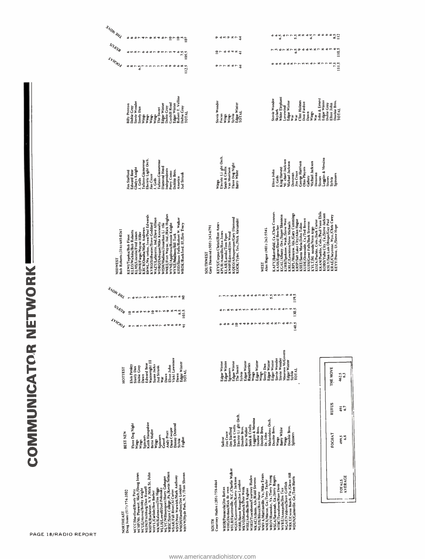# **COMMUNICATOR NETWORK**

| <b>MORTHI</b><br>eeer traxtergrg                                                                                                                                                                                                                                                                                                                                                                                                                                                                                                   | ٠<br>٠<br>۰<br>sann<br>S<br>ಟ್ಟ್ ಇಂ<br>œ<br>٠<br>$\frac{55}{67}$<br>٠<br>m<br>٠<br>ゆめがめたま<br>аó                                                                                                                                                                                                                                                                                                                                                                                                                                                                                                                                                                                                                                                                                                                                                                 |
|------------------------------------------------------------------------------------------------------------------------------------------------------------------------------------------------------------------------------------------------------------------------------------------------------------------------------------------------------------------------------------------------------------------------------------------------------------------------------------------------------------------------------------|-----------------------------------------------------------------------------------------------------------------------------------------------------------------------------------------------------------------------------------------------------------------------------------------------------------------------------------------------------------------------------------------------------------------------------------------------------------------------------------------------------------------------------------------------------------------------------------------------------------------------------------------------------------------------------------------------------------------------------------------------------------------------------------------------------------------------------------------------------------------|
| ో త్<br><b>SOADA</b><br><b>@M3CP</b><br>٠<br>٠<br>at m<br>۰<br>m m<br>s.<br>呻<br>۰                                                                                                                                                                                                                                                                                                                                                                                                                                                 | ٠<br>$w_1 \gg w_2$<br>てきゅうので<br>$5^{\circ}$<br>۰<br>٠<br>모드 후후보호 중                                                                                                                                                                                                                                                                                                                                                                                                                                                                                                                                                                                                                                                                                                                                                                                              |
| 105.5<br>۴<br><b>LYHDOS</b><br>00 <sup>o</sup><br>٠<br>トトトトトスタ                                                                                                                                                                                                                                                                                                                                                                                                                                                                     | $\frac{6}{10}$<br><b>GEGOCHLMMGLED</b><br>$\frac{5}{5}$<br>0.00000<br>寻                                                                                                                                                                                                                                                                                                                                                                                                                                                                                                                                                                                                                                                                                                                                                                                         |
| $\begin{array}{c}\n\bullet & \bullet & \bullet \\ \bullet & \bullet & \bullet \\ \bullet & \bullet & \bullet\n\end{array}$<br>$\frac{5}{6}$                                                                                                                                                                                                                                                                                                                                                                                        |                                                                                                                                                                                                                                                                                                                                                                                                                                                                                                                                                                                                                                                                                                                                                                                                                                                                 |
| Robert T. Velline<br>Stevie Wonder<br><b>Gunhill Road</b><br><b>Billy Preston</b><br>Edgar Winter<br>Edgar Winter<br>Dobie Gray<br>Dobie Gray<br>Dobie Gray<br>Steely Dan<br>The Sweet<br><b>TOTAL</b><br>Wings<br>Wing<br>Vings.<br>Wings                                                                                                                                                                                                                                                                                         | White Elephant<br>John & Ernest<br>Stevie Wonder<br>Clint Holmes<br>Edgar Winter<br>Dobie Gray<br>Stevie Wonder<br>Edgar Winter<br>Doobie Bros.<br>Don Fardon<br>Wings<br>Sylvia<br>Edgar Winter<br>TOTAL<br>Elton John<br>Lovewind<br><b>Skylark</b><br><b>TOTAL</b><br>Dawn<br>Wings<br>Focus<br>Wings<br>War<br>War<br>is.<br>M                                                                                                                                                                                                                                                                                                                                                                                                                                                                                                                              |
| Electric Light Orch<br>lufano-Giameresse<br>ulano-Giameresse<br>Diamond Head<br><b>Gladys Knight</b><br><b>Independents</b><br>Jobbie Bros.<br>Edward Bear<br>im Stafford<br>Perry Como<br>lud Strunk<br>im Croce<br>America<br>J. Geils<br>Š                                                                                                                                                                                                                                                                                      | Electric Li ght Orch.<br>Loggins & Messina<br>VII chael Jackson<br>Michael Jackson<br>George Harrivon<br><b>Michael Jackson</b><br>Three Dog Night<br>Barry White<br>Seals & Crofts<br>Ohio Players<br>King Harvest<br>Van Morrison<br>Elton John<br><b>lim</b> Croce<br>Donovan<br>Donovan<br>Spinners<br>Cells<br>Callery<br><b>Stones</b><br>Stones<br>Sylvia<br>Wings                                                                                                                                                                                                                                                                                                                                                                                                                                                                                       |
| WMEE/Fort Wayne, Ind./Rick Hughes<br>KWWL/Wa terloo, lowa/Paul Edwards<br>KVRO/Stillwater/Steve Goddard<br>WAZY/Lafayette, Ind./Dave Allison<br>KISD/Sioux Falls/Robert W. Walker<br><b>WDBO/Dubuque/Mike Kenneally</b><br>WYNE/Appleton/Ronnie Knight<br>WYXE/Madison/Bill Tuck<br>WROK/Rockford, III./Eric Tracy<br>WISM/Madison/Jonathan Li ttle<br>KQWB/Fargo/Wayne Hiller<br>KRCB/Omaha/Mark Andrews<br>Bob Roberts (316) 685-0261<br>KLEO/Wichita/Bob Roberts<br>KLMS/Lincoln/Fred James<br>KEWI/Topeka/Bob Finot<br>NIDWEST | KDZA/Pueblo, Colo ,/Jack Carter<br>KKAM/Pueblo, Colo ,/Paul Vann Ehlis<br>KAFY/Bakersfield, Ca./Chris Connory<br>KGAL/Albany, Ore/Super Shannon<br>KIRBISpokane, Wash, Skeee West<br>KREL/Aewston/da.re.servents<br>KREL/Aewston/da.re.serventsings<br>KRSP/Saft Lake City/Aban Hague<br>KOBO/Yuba City, Ca./Steve Jackson<br>KRAE/Cheyenne, Wyo./Chris Carey<br>KQEO/Albuquerque/Gary Diamond<br>KUDE/Oceanside, Ca./Ted Brown<br>KUDI/Great Falls/Back Stevens<br>KIMMK/Tyler, Tex./Nick Alexander<br>KSLY/San Luis Obispo/Guy Paul<br>KEYS/Corpus Christi/Ron Ames<br>KSEE/Santa Maria/John Tobin<br>KEYY/Provo, Ut./Steve Hope<br>KASH/Eugene/David Beecher<br>Gary Diamond (505) 243-6791<br>KYLT/Mi ssoula/Vern Argo<br>Alan Hague (801) 262-5541<br>KPUR/Amarillo/Ron Jones<br>KWHP/Edmond/Jim Wood<br>KLAR/Laredo/Tom Piper<br><b>SOUTHWEST</b><br>WEST |
| <b>ANOWARI</b><br>ବଟ ବରି<br><b>NOWNERWOOD</b>                                                                                                                                                                                                                                                                                                                                                                                                                                                                                      | <b>NMNWOWGGGGMEN</b><br>V.<br>w.<br>٠<br>v.r-                                                                                                                                                                                                                                                                                                                                                                                                                                                                                                                                                                                                                                                                                                                                                                                                                   |
| <b>SOADA</b><br>œ<br>$\mathbf{R}$ $\mathbf{R}$ $\mathbf{R}$ $\mathbf{R}$ $\mathbf{R}$ $\mathbf{R}$ $\mathbf{R}$                                                                                                                                                                                                                                                                                                                                                                                                                    | $\begin{array}{c}\n6 \\ \hline\n119.5\n\end{array}$<br>130.5<br><b>GRUPORLAR</b> COMPA<br>OC MS                                                                                                                                                                                                                                                                                                                                                                                                                                                                                                                                                                                                                                                                                                                                                                 |
| و په په<br>1035<br><b>LYHDOS</b><br><b>SPEPSONSPACED</b>                                                                                                                                                                                                                                                                                                                                                                                                                                                                           | <b>TOOLOGIA</b><br>÷<br>140.5<br>0.90997                                                                                                                                                                                                                                                                                                                                                                                                                                                                                                                                                                                                                                                                                                                                                                                                                        |
| Vicki Lawrence<br>Wainwright III<br>Edgar Winter<br>TOTAL<br><b>Edward Bear</b><br>Susan Jacks<br>Elvis Presley<br>Elton John<br>Dobie Gray<br>Jud Strunk<br>Steely Dan<br><b>ISSLLOH</b><br>Dawn<br>Dawn<br>Dawn<br>š                                                                                                                                                                                                                                                                                                             | Maureen McGovern<br>Stevie Wonder<br>Stevie Wonder<br>Edgar Winter<br>Edgar Winter<br>Edgar Winter<br>Edgar Winter<br>Edgar Winter<br>Edgar Winter<br>Edgar Winter<br>Edgar Winter<br>Raspberries<br>Steely Dan<br>The Sweet<br><b>THE MOVE</b><br>Spinners<br><b>TOTAL</b><br>Sylvia<br>Wings<br>Sylvia<br><b>Wings</b><br>462.5<br>3                                                                                                                                                                                                                                                                                                                                                                                                                                                                                                                          |
| <b>Keith Hampshire</b><br>Three Dog Night<br>Donny Osmond<br>Dana Cooper<br>Bette Midler<br>Andy Pratt<br>BEST NEW<br>Spinners<br>Spinners<br>Foghat<br>Gravel<br>Sylvia<br>Wings<br>Wings<br>Wings                                                                                                                                                                                                                                                                                                                                | <b>RUFUS</b><br>6.7<br>$rac{1}{2}$<br>Electric Li ght Orch.<br>Loggins & Mexina<br>Doobie Bros.<br>Mahavishnu Orch.<br>Seals & Crofts<br>Seals & Crofts<br>Doobie Bros.<br>Doobie Bros.<br>Spinners<br>Doobie Bros.<br>Doobie Bros.<br>Bette Midler<br>Barry White<br>im Stafford<br><b>Fim</b> Croce<br>Dr. John<br>FOGHAT<br>6.8<br>5'66F<br>Wings<br>Wings<br>Sailcat                                                                                                                                                                                                                                                                                                                                                                                                                                                                                        |
| WLYC/Williamsport/Harry Gahagan<br>WRSC/State College, Pa./Kevin Nelson<br>WCHP/M1. Pleasant. Mich./Doug Jones<br>WHEM/Rochester, N.Y./Mick St. John<br>WHVW/Hyde Park, N.Y./Tom Shovan<br>WSVP/West Warwick/Mark Anthony<br>WMOH/Hamilton/Joe London<br>WEIM/Fitchburg/Don Russell<br>WKMI/Kalamazoo/Jim Higgs<br>WLLH/Lowell/Joel Polansky<br>WCUE/Akron/Bobby Knight<br>WSAR/Fall River/Al Carter<br>WCCC/Hartford/Rusty Potz<br>Doug Jones (517) 774-3502<br>WHYL/Carlisle/Ben Barber<br>NORTHEAST                             | WFLB/Fayetteville, N.C./Charlie Walker<br>WRKT/Cocoa Beach, Fla./Glenn Hill<br>WMVA/Martinsville, Va./Mike Evans<br>WJRD/Tuscaloosa/Courtney Haden<br>WKAC/Athens. Ala./Kidd Stevens<br>WROV/Roanoke, Va./Terry Young<br>WSGA/Savannah, Ga./Jerry Rogers<br>AVERAGE<br>WGSV/Guntersville/Kerry Jackson<br>WDUN/Gainsville. Ga./Tom Harris<br>WNEX/Macon. Ga./Terry Taylor<br>TOTALS<br>WIBR/Baton Rouge/Joe London<br>WKVO/Havelock/Pete Wenk<br>Courtney Haden (205) 758-4464<br>WGAF/Valdosta/Scott Griffith<br>WTBC/Tuscaloosa/Russ Davis<br>WDIG/Dothan/Rick Brown<br>WBSR/Pensacola/Jim Battan<br>WISE/Ashville/Bob Kaghan<br>WYRE/Annapolis/Jim Tice<br>WLOX/Biloxi/Ron Hurst<br><b>KLIDOS</b>                                                                                                                                                            |

PAGE 18/RADIO REPORT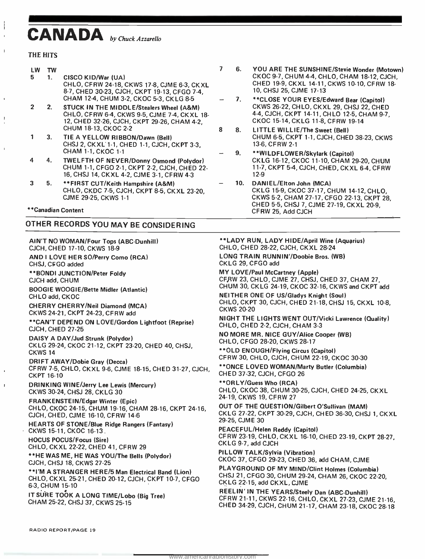# CANADA by Chuck Azzarello

#### THE HITS

| LW | ΤW      |                                                                                                                                                                            |   |
|----|---------|----------------------------------------------------------------------------------------------------------------------------------------------------------------------------|---|
| 5. | $1_{-}$ | CISCO KID/War (UA)<br>CHLO, CFRW 24-18, CKWS 17-8, CJME 6-3, CKXL<br>8-7, CHED 30-23, CJCH, CKPT 19-13, CFGO 7-4,<br>CHAM 12-4, CHUM 3-2, CKOC 5-3, CKLG 8-5               |   |
|    | 2.      | <b>STUCK IN THE MIDDLE/Stealers Wheel (A&amp;M)</b><br>CHLO, CFRW 6-4, CKWS 9-5, CJME 7-4, CKXL 18-<br>12, CHED 32-26, CJCH, CKPT 29-26, CHAM 4-2,<br>CHUM 18-13, CKOC 2-2 | Զ |
|    | 3.      | TIE A YELLOW RIBBON/Dawn (Bell)<br>CHSJ 2, CKXL 1-1, CHED 1-1, CJCH, CKPT 3-3,<br>CHAM 1-1, CKOC 1-1                                                                       |   |
|    | 4.      | TWELFTH OF NEVER/Donny Osmond (Polydor)<br>CHUM 1-1, CFGO 2-1, CKPT 2-2, CJCH, CHED 22-<br>16, CHSJ 14, CKXL 4-2, CJME 3-1, CFRW 4-3                                       |   |

- 3 5. \*\* FIRST CUT/Keith Hampshire (A&M) CHLO, CKDC 7 -5, CJCH, CKPT 8 -5, CKXL 23 -20, CJME 29 -25, CKWS 1 -1
- \* \*Canadian Content

#### OTHER RECORDS YOU MAY BE CONSIDERING

AIN'T NO WOMAN/Four Tops (ABC-Dunhill) CJCH, CHED 17 -10, CKWS 18 -9 AND I LOVE HER SO/Perry Como (RCA) CHSJ, CfG0 added \* \*BONDI JUNCTION /Peter Foldy CJCH add, CHUM BOOGIE WOOGIE /Bette Midler (Atlantic)

CHLO add, CKOC CHERRY CHERRY /Neil Diamond (MCA) CKWS 24 -21, CKPT 24 -23, CFRW add

\*\* CAN'T DEPEND ON LOVE/Gordon Lightfoot (Reprise) CJCH, CHED 27 -25

DAISY A DAY /Jud Strunk (Polydor) CKLG 29 -24, CKOC 21 -12, CKPT 23 -20, CHED 40, CHSJ, CKWS 14

DRIFT AWAY/Dobie Gray (Decca) CFRW 7 -5, CHLO, CKXL 9 -6, CJME 18 -15, CHED 31 -27, CJCH, CKPT 16-10

DRINKING WINE /Jerry Lee Lewis (Mercury) CKWS 30 -24, CHSJ 28, CKLG 30

FRANKENSTEIN /Edgar Winter (Epic) CHLO, CKOC 24 -15, CHUM 19 -16, CHAM 28 -16, CKPT 24 -16, CJCH, CHED, CJME 16 -10, CFRW 14 -6

HEARTS OF STONE/Blue Ridge Rangers (Fantasy) CKWS 15 -11, CKOC 16 -13.

HOCUS POCUS /Focus (Sire) CHLO, CKXL 22 -22, CHED 41, CFRW 29

\*\*HE WAS ME, HE WAS YOU/The Bells (Polydor) CJCH, CHSJ 18, CKWS 27 -25

\* \*I'M A STRANGER HERE /5 Man Electrical Band (Lion) CHLO, CKXL 25 -21, CHED 20 -12, CJCH, CKPT 10 -7, CFGO 6 -3, CHUM 15 -10

IT SURE TOOK A LONG TIME/Lobo (Big Tree) CHAM 25-22, CHSJ 37, CKWS 25-15

- <sup>7</sup>6. YOU ARE THE SUNSHINE /Stevie Wonder (Motown) CKOC 9 -7, CHUM 4 -4, CHLO, CHAM 18 -12, CJCH, CHED 19-9, CKXL 14-11, CKWS 10-10, CFRW 18-10, CHSJ 25, CJME 17 -13
	- 7. \*\* CLOSE YOUR EYES/Edward Bear (Capitol) CKWS 26 -22, CH LO, CKXL 29, CHSJ 22, CHED 4-4, CJCH, CKPT 14-11, CHLO 12-5, CHAM 9-7, CKOC 15 -14, CKLG 11 -8, CFRW 19 -14
- 8 8. LITTLE WILLIE/The Sweet (Bell) CHUM 6 -5, CKPT 1 -1, CJCH, CHED 38 -23, CKWS 13 -6, CFRW 2 -1
	- 9. \*\* WILDFLOWER/Skylark (Capitol) CKLG 16 -12, CKOC 11 -10, CHAM 29 -20, CHUM <sup>11</sup>-7, CKPT 5 -4, CJCH, CHED, CKXL 6-4, CFRW 12 -9
	- 10. DANIEL /Elton John (MCA) CKLG 15 -9, CKOC 37 -17, CHUM 14 -12, CHLO, CKWS 5 -2, CHAM 27 -17, CFGO 22 -13, CKPT 28, CHED 5-5, CHSJ 7, CJME 27-19, CKXL 20-9, CFRW 25, Add CJCH

\*\* LADY RUN, LADY HIDE/April Wine (Aquarius) CHLO, CHED 28-22, CJCH, CKXL 28-24 LONG TRAIN RUNNIN'/Doobie Bros. (WB)

CKLG 29, CFGO add

MY LOVE/Paul McCartney (Apple) CFRW 23, CHLO, CJME 27, CHSJ, CHED 37, CHAM 27, CHUM 30, CKLG 24 -19, CKOC 32 -16, CKWS and CKPT add

**NEITHER ONE OF US/Gladys Knight (Soul)** CHLO, CKPT 30, CJCH, CHED 21-18, CHSJ 15, CKXL 10-8, **CKWS 20-20** 

NIGHT THE LIGHTS WENT OUT /Vicki Lawrence (Quality) CHLO, CHED 2-2, CJCH, CHAM 3-3

NO MORE MR. NICE GUY /Alice Cooper (WB) CHLO, CFGO 28-20, CKWS 28-17

\* \*OLD ENOUGH /Flying Circus (Capitol) CFRW 30, CHLO, CJCH, CHUM 22 -19, CKOC 30 -30

"ONCE LOVED WOMAN /Marty Butler (Columbia) CHED 37 -32, CJCH, CFGO 26

\* \*ORLY /Guess Who (RCA) CHLO, CKOC 38, CHUM 30 -25, CJCH, CHED 24 -25, CKXL 24 -19, CKWS 19, CFRW 27

OUT OF THE QUESTION /Gilbert O'Sullivan (MAM) CKLG 27-22, CKPT 30-29, CJCH, CHED 36-30, CHSJ 1, CKXL 29 -25, CJME 30

PEACEFUL /Helen Reddy (Capitol) CFRW 23 -19, CHLO, CKXL 16 -10, CHED 23 -19, CKPT 28 -27, CKLG 9 -7, add CJCH

PILLOW TALK/Sylvia (Vibration) CKOC 37, CFGO 29 -23, CHED 36, add CHAM, CJME

PLAYGROUND OF MY MIND/Clint Holmes (Columbia) CHSJ 21, CFGO 30, CHUM 29 -24, CHAM 26, CKOC 22 -20, CKLG 22 -15, add CKXL, CJME

REEL IN' IN THE YEARS/Steely Dan (ABC-Dunhill)<br>CFRW 21-11, CKWS 22-16, CHLO, CKXL 27-23, CJME 21-16,<br>CHED 34-29, CJCH, CHUM 21-17, CHAM 23-18, CKOC 28-18

RADIO REPORT /PAGE 19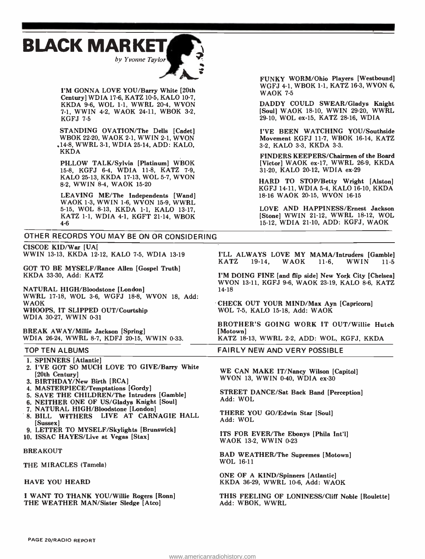



I'M GONNA LOVE YOU/Barry White [20th Century] WDIA 17-6, KATZ 10-5, KALO 10-7, KKDA 9-6, WOL 1-1, WWRL 20-4, WVON 7-1, WWIN 4-2, WAOK 24-11, WBOK 3-2, KGFJ 7-5

STANDING OVATION/The Dells [Cadet] WBOK 22 -20, WAOK 2 -1, WWIN 2 -1, WVON .14 -8, WWRL 3 -1, WDIA 25 -14, ADD: KALO, KKDA

PILLOW TALK/Sylvia [Platinum] WBOK 15-8, KGFJ 6-4, WDIA 11-8, KATZ 7-9, KALO 25-13, KKDA 17-13, WOL 5-7, WVON 8-2, WWIN 8-4, WAOK 15-20

LEAVING ME/The Independents [Wand] WAOK 1-3, WWIN 1-6, WVON 15-9, WWRL 5-15, WOL 8-13, KKDA 1-1, KALO 13-17, KATZ 1-1, WDIA 4-1, KGFT 21-14, WBOK 4-6

OTHER RECORDS YOU MAY BE ON OR CONSIDERING

CISCOE KID/War [UA] WWIN 13-13, KKDA 12-12, KALO 7-5, WDIA 13-19

GOT TO BE MYSELF /Rance Allen [Gospel Truth] KKDA 33 -30, Add: KATZ

NATURAL HIGH/Bloodstone [London] WWRL 17 -18, WOL 3 -6, WGFJ 18 -8, WVON 18, Add: WAOK WHOOPS, IT SLIPPED OUT/Courtship WDIA 30-27, WWIN 0-31

BREAK AWAY/Millie Jackson [Spring] WDIA 26-24, WWRL 8-7, KDFJ 20-15, WWIN 0-33.

#### TOP TEN ALBUMS

- 1. SPINNERS [Atlantic]
- 2. I'VE GOT SO MUCH LOVE TO GIVE/Barry White [20th Century]
- 3. BIRTHDAY/New Birth [RCA]
- 4. MASTERPIECE/Temptations [Gordy]
- 5. SAVE THE CHILDREN/The Intruders [Gamble]
- 6. NEITHER ONE OF US/Gladys Knight [Soul]
- 7. NATURAL HIGH/Bloodstone [London]
- 8. BILL WITHERS LIVE AT CARNAGIE HALL [Sussex]
- 9. LETTER TO MYSELF/Skylights [Brunswick]
- 10. ISSAC HAYES/Live at Vegas [Stax]

#### BREAKOUT

THE MIRACLES (Tamela)

#### HAVE YOU HEARD

I WANT TO THANK YOU/Willie Rogers [Ronn] THE WEATHER MAN/Sister Sledge [Atco]

FUNKY WORM/Ohio Players [Westbound] WGFJ 4-1, WBOK 1-1, KATZ 16-3, WVON 6, **WAOK 7-5** 

DADDY COULD SWEAR/Gladys Knight [Soul] WAOK 18-10, WWIN 29-20, WWRL 29 -10, WOL ex -15, KATZ 28-16, WDIA

I'VE BEEN WATCHING YOU/Southside Movement KGFJ 11-7, WBOK 16-14, KATZ 3-2, KALO 3-3, KKDA 3-3.

FINDERS KEEPERS /Chairmen of the Board [Victor] WAOK ex-17, WWRL 26-9, KKDA 31-20, KALO 20-12, WDIA ex-29

HARD TO STOP/Betty Wright [Alston] KGFJ 14-11, WDIA 5-4, KALO 16-10, KKDA 18-16 WAOK 20-15, WVON 16-15

LOVE AND HAPPINESS/Ernest Jackson [Stone] WWIN 21-12, WWRL 18-12, WOL 15-12, WDIA 21-10, ADD: KGFJ, WAOK

I'LL ALWAYS LOVE MY MAMA/Intruders [Gamble]<br>KATZ 19-14. WAOK 11-6. WWIN 11-5 WAOK

I'M DOING FINE [and flip side] New York City [Chelsea] WVON 13 -11, KGFJ 9 -6, WAOK 23 -19, KALO 8 -6, KATZ 14 -18

CHECK OUT YOUR MIND/Max Ayn [Capricorn] WOL 7 -5, KALO 15 -18, Add: WAOK

BROTHER'S GOING WORK IT OUT/Willie Hutch [Motown]

KATZ 18-13, WWRL 2-2, ADD: WOL, KGFJ, KKDA

FAIRLY NEW AND VERY POSSIBLE

WE CAN MAKE IT/Nancy Wilson [Capitol] WVON 13, WWIN 0-40, WDIA ex-30

STREET DANCE/Sat Back Band [Perception] Add: WOL

THERE YOU GO/Edwin Star [Soul] Add: WOL

ITS FOR EVER/The Ebonys [Phila Int'l] WAOK 13-2, WWIN 0-23

BAD WEATHER/The Supremes [Motown] WOL 16-11

ONE OF A KIND/Spinners [Atlantic] KKDA 36-29, WWRL 10-6, Add: WAOK

THIS FEELING OF LONINESS/Cliff Noble [Roulette] Add: WBOK, WWRL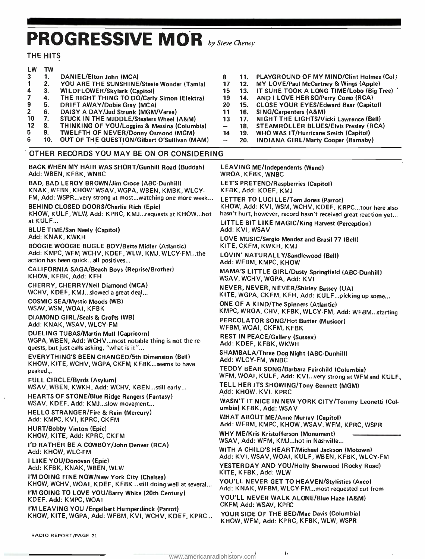# PROGRESSIVE MOR by Steve Cheney

#### THE HITS

| LW                      | TW             |                                              |   |
|-------------------------|----------------|----------------------------------------------|---|
| 3                       | $\mathbf{1}$ . | DANIEL/Elton John (MCA)                      | 8 |
| -1                      | 2.             | YOU ARE THE SUNSHINE/Stevie Wonder (Tamla)   |   |
| $\overline{\mathbf{4}}$ | 3.             | <b>WILDFLOWER/Skylark (Capitol)</b>          |   |
| 7                       | 4.             | THE RIGHT THING TO DO/Carly Simon (Elektra)  |   |
| 9                       | 5.             | DRIFT AWAY/Dobie Gray (MCA)                  | 2 |
| $\overline{2}$          | 6.             | DAISY A DAY/Jud Strunk (MGM/Verve)           |   |
| 10                      | 7.             | STUCK IN THE MIDDLE/Stealers Wheel (A&M)     |   |
| 12                      | 8.             | THINKING OF YOU/Loggins & Messina (Columbia) |   |
| 5.                      | 9.             | TWELFTH OF NEVER/Donny Osmond (MGM)          |   |
| 6                       | 10.            | OUT OF THE QUESTION/Gilbert O'Sullivan (MAM) |   |
|                         |                |                                              |   |

#### OTHER RECORDS YOU MAY BE ON OR CONSIDERING

BACK WHEN MY HAIR WAS SHORT /Gunhill Road (Buddah) Add: WBEN, KFBK, WNBC

BAD, BAD LEROY BROWN /Jim Croce (ABC- Dunhill) KNAK, WFBN, KHOW' WSAV, WGPA, WBEN, KMBK, WLCY-FM, Add: WSPR...very strong at most...watching one more week...

BEHIND CLOSED DOORS /Charlie Rich (Epic) KHOW, KULF, WLW, Add: KPRC, KMJ...requests at KHOW...hot at KULF...

BLUE TIME/San Neely (Capitol) Add: KNAK, KWKH

BOOGIE WOOGIE BUGLE BOY /Bette Midler (Atlantic) Add: KMPC, WFM, WCHV, KDEF, WLW, KMJ, WLCY-FM...the action has been quick...all positives...

CALIFORNIA SAGA/Beach Boys (Reprise/Brother) KHOW, KFBK, Add: KFH

CHERRY, CHERRY /Neil Diamond (MCA) WCHV, KDEF, KMJ...slowed a great deal...

COSMIC SEA /Mystic Moods (WB) WSAV, WSM, WOAI, KFBK

DIAMOND GIRL /Seals & Crofts (WB) Add: KNAK, WSAV, WLCY -FM

DUELING TUBAS/Martin Mull (Capricorn) WGPA, WBEN, Add: WCHV...most notable thing is not the re quests, but just calls asking, "what is it"...

EVERYTHING'S BEEN CHANGED /5th Dimension (Bell) KHOW, KITE, WCHV, WGPA CKFM, KFBK...seems to have peaked.,.

FULL CIRCLE/Byrds (Asylum) WSAV, WBEN, KWKH, Add: WCHV, KBEN...still early...

HEARTS OF STONE/Blue Ridge Rangers (Fantasy) WSAV, KDEF, Add: KMJ...slow movement...

HELLO STRANGER/Fire & Rain (Mercury) Add: KMPC, KVI, KPRC, CKFM

HURT/Bobby Vinton (Epic)

KNOW, KITE, Add: KPRC, CKFM

I'D RATHER BE A COWBOY /John Denver (RCA) Add: KHOW, WLC -FM

I LIKE YOU/Donovan (Epic) Add: KFBK, KNAK, WBEN, WLW

I'M DOING FINE NOW/New York City (Chelsea) KHOW, WCHV, WOAI, KDEF, KFBK...still doing well at several... I'M GOING TO LOVE YOU/Barry White (20th Century) KDEF, Add: KMPC, WOAI

I'M LEAVING YOU /Engelbert Humperdinck (Parrot) KNOW, KITE, WGPA, Add: WFBM, KVI, WCHV, KDEF, KPRC...

RADIO REPORT /PAGE 21

- 3 11. PLAYGROUND OF MY MIND/Clint Holmes (Col)<br>17 12. MY LOVE/Paul McCartney & Wings (Apple)
- 12. MY LOVE/Paul McCartney & Wings (Apple)<br>15. 13. IT SURE TOOK A LONG TIME/Lobo (Big 1
- 4 5. Bylark (Capitol) 13. WILDFLOWER 13. IT SURE TOOK A LONG TIME /Lobo (Big Tree)<br>15 13. INDIANG TOOK TOOK AND THE SO Terry Comp (RCA)
- 13 14. AND I LOVE HER SO/Perry Comp (RCA)<br>20 15. CLOSE YOUR EYES/Edward Bear (Capit
- 0 15. CLOSE YOUR EYES/Edward Bear (Capitol) 20 16. SING/Carpenters (A&M)
- SING/Carpenters (A&M)
- 13 17. NIGHT THE LIGHTS/Vicki Lawrence (Bell)
- 18. STEAMROLLER BLUES/Elvis Presley (RCA)<br>4. 19. WHO WAS IT/Hurricane Smith (Capitol)
- 19. WHO WAS IT/Hurricane Smith (Capitol)<br>20. INDIANA GIRL/Marty Cooper (Barnaby
	- INDIANA GIRL/Marty Cooper (Barnaby)

LEAVING ME/Independents (Wand) WROA, KFBK, WNBC LET'S PRETEND/Raspberries (Capitol) KFBK, Add: KDEF, KMJ

LETTER TO LUCILLE/Tom Jones (Parrot) KHOW, Add: KVI, WSM, WCHV, KDEF, KRPC...tour here also hasn't hurt, however, record hasn't received great reaction yet...

LITTLE BIT LIKE MAGIC/King Harvest (Perception)<br>Add: KVI, WSAV

LOVE MUSIC/Sergio Mendez and Brasil 77 (Bell) KITE, CKFM, KWKH, KMJ

LOVIN' NATURALLY/Sandlewood (Bell)<br>Add: WFBM, KMPC, KHOW

MAMA'S LITTLE GIRL/Dusty Springfield (ABC-Dunhill)<br>WSAV, WCHV, WGPA, Add: KVI

NEVER, NEVER, NEVER/Shirley Bassey (UA)<br>KITE, WGPA, CKFM, KFH, Add: KULF...picking up some...

ONE OF A KIND/The Spinners (Atlantic)

KMPC, WROA, CHV, KFBK, WLCY -FM, Add: WFBM...starting

PERCOLATOR SONG/Hot Butter (Musicor)<br>WFBM, WOAI, CKFM, KFBK

REST IN PEACE/Gallery (Sussex) Add: KDEF, KFBK, WKWH

SHAMBALA/Three Dog Night (ABC-Dunhill)<br>Add: WLCY-FM, WNBC

TEDDY BEAR SONG/Barbara Fairchild (Columbia)<br>WFM, WOAI, KULF, Add: KVI...very strong at WFMand KULF,

TELL HER ITS SHOWING/Tony Bennett (MGM)<br>Add: KHOW. KVI. KPRC

WASN'T IT NICE IN NEW YORK CITY/Tommy Leonetti (Col- umbia) KFBK, Add: WSAV

WHAT ABOUT ME/Anne Murray (Capitol) Add: WFBM, KMPC, KHOW, WSAV. WFM, KPRC, WSPR

WHY ME/Kris Kristofferson (Monument) WSAV, Add: WFM, KMJ...hot in Nashville...

WITH A CHILD'S HEART /Michael Jackson (Motown) Add: KVI, WSAV, WOAI, KULF, WBEN, KFBK, WLCY -FM YESTERDAY AND YOU/Holly Sherwood (Rocky Road) KITE, KFBK, Add: WLW

YOU'LL NEVER GET TO HEAVEN/Stylistics (Avco) Add: KNAK, WFBM, WLCY-FM...most requested cut from

YOU'LL NEVER WALK ALONE/Blue Haze (A&M) CKFM, Add: WSAV, KPRC

YOUR SIDE OF THE BED/Mac Davis (Columbia) KHOW, WFM, Add: KPRC, KFBK, WLW, WSPR

 $\mathbf{t}$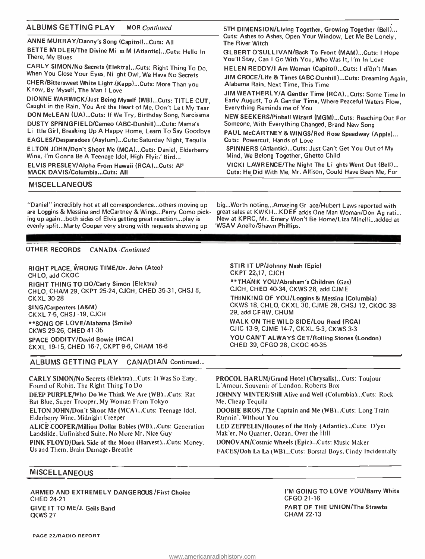| <b>ALBUMS GETTING PLAY</b><br><b>MOR</b> Continued              | 5TH DIMENSION/Living Together, Growing Together (Bell)                       |
|-----------------------------------------------------------------|------------------------------------------------------------------------------|
| ANNE MURRAY/Danny's Song (Capitol)Cuts: All                     | Cuts: Ashes to Ashes, Open Your Window, Let Me Be Lonely,<br>The River Witch |
| BETTE MIDLER/The Divine Mi ss M (Atlantic)Cuts: Hello In        | GLBERT O'SULLIVAN/Back To Front (MAM)Cuts: I Hope                            |
| There, My Blues                                                 | You'll Stay, Can I Go With You, Who Was It, I'm In Love                      |
| CARLY SIMON/No Secrets (Elektra)Cuts: Right Thing To Do,        | HELEN REDDY/I Am Woman (Capitol)Cuts: I didn't Mean                          |
| When You Close Your Eyes, Ni ght Owl, We Have No Secrets        | JIM CROCE/Life & Times (ABC-Dunhill)Cuts: Dreaming Again,                    |
| CHER/Bittersweet White Light (Kapp)Cuts: More Than you          | Alabama Rain, Next Time, This Time                                           |
| Know, By Myself, The Man I Love                                 | JIM WEATHERLY/A Gentler Time (RCA)Cuts: Some Time In                         |
| DIONNE WARWICK/Just Being Myself (WB)Cuts: TITLE CUT,           | Early August, To A Gentler Time, Where Peaceful Waters Flow,                 |
| Caught in the Rain, You Are the Heart of Me, Don't Let My Tear  | Everything Reminds me of You                                                 |
| DON McLEAN (UA)Cuts: If We Try, Birthday Song, Narcissma        | NEW SEEKERS/Pinball Wizard (MGM)Cuts: Reaching Out For                       |
| DUSTY SPRINGFIELD/Cameo (ABC-Dunhill)Cuts: Mama's               | Someone, With Everything Changed, Brand New Song                             |
| Li ttle Girl, Breaking Up A Happy Home, Learn To Say Goodbye    | PAUL McCARTNEY & WINGS/Red Rose Speedway (Apple)                             |
| <b>EAGLES/Desparadoes (Asylum)Cuts: Saturday Night, Tequila</b> | Cuts: Powercut, Hands of Love                                                |
| ELTON JOHN/Don't Shoot Me (MCA)Cuts: Daniel, Elderberry         | <b>SPINNERS (Atlantic)Cuts: Just Can't Get You Out of My</b>                 |
| Wine, I'm Gonna Be A Teenage Idol, High Flyir.' Bird            | Mind, We Belong Together, Ghetto Child                                       |
| ELVIS PRESLEY/Aloha From Hawaii (RCA)Cuts: All                  | VICKI LAWRENCE/The Night The Li ghts Went Out (Bell)                         |
| <b>MACK DAVIS/ColumbiaCuts: All</b>                             | Cuts: He Did With Me, Mr. Allison, Could Have Been Me, For                   |

#### MISCELLANEOUS

"Daniel" incredibly hot at all correspondence...others moving up are Loggins & Messina and McCartney & Wings...Perry Como picking up again...both sides of Elvis getting great reaction...play is evenly split...Marty Cooper very strong with requests showing up

big...Worth noting...Amazing Gr ace /Hubert Laws reported with great sales at KWKH...KDEF adds One Man Woman/Don Ag rati... New at KPRC, Mr. Emery Won't Be Home/Liza Minelli...added at 'WSAV Anello /Shawn Phillips.

STIR IT UP/Johnny Nash (Epic)

CHED 39, CFGO 28, CKOC 40-35

\* \*THANK YOU /Abraham's Children (Gas) CJCH, CHED 40-34, CKWS 28, add CJME

WALK ON THE WILD SIDE/Lou Reed (RCA) CJIC 13 -9, CJME 14 -7, CKXL 5 -3, CKWS 3 -3

THINKING OF YOU/Loggins & Messina (Columbia) CKWS 18, CHLO, CKXL 30, CJME 28, CHSJ 12, CKOC 38-

YOU CAN'T ALWAYS GET/Rolling Stones (London)

CKPT 22-17, CJCH

29, add CFRW, CHUM

#### OTHER RECORDS CANADA Continued

RIGHT PLACE, WRONG TIME /Dr. John (Atco) CHLO, add CKOC RIGHT THING TO DO/Carly Simon (Elektra) CHLO, CHAM 29, CKPT 25-24, CJCH, CHED 35-31, CHSJ 8, **CKXL 30-28** SING/Carpenters (A&M) CKXL 7 -5, CHSJ -19, CJCH \*\* SONG OF LOVE/Alabama (Smile) CKWS 29 -26, CHED 41 -35 SPACE ODDITY /David Bowie (RCA)

CKXL 19 -15, CHED 16 -7, CKPT 9 -6, CHAM 16 -6

ALBUMS GETTING PLAY CANADIAN Continued...

CARLY SIMON/No Secrets (Elektra)...Cuts: It Was So Easy. Found of Robin. The Right Thing To Do DEEP PURPLE/Who Do We Think We Are (WB)...Cuts: Rat Bat Blue. Super Trooper. My Woman From Tokyo ELTON JOHN/Don't Shoot Me (MCA)...Cuts: Teenage Idol. Elderberry Wine, Midnight Creeper ALICE COOPER/Million Dollar Babies (WB)...Cuts: Generation Landslide, Unfinished Suite. No More Mr. Nice Guy PINK FLOYD/Dark Side of the Moon (Harvest)...Cuts: Money, Us and Them, Brain Damage, Breathe Me. Cheap Tequila Runnin', Without You

PROCOL HARUM/Grand Hotel (Chrysalis)...Cuts: Toujour L'Amour. Souvenir of London, Roberts Box JOHNNY WINTER/Still Alive and Well (Columbia)...Cuts: Rock DOOBIE BROS. /The Captain and Me (WB)...Cuts: Long Train LED ZEPPELIN/Houses of the Holy (Atlantic)...Cuts: D'yei Mak'er, No Quarter, Ocean, Over the Hill DONOVAN/Cosmic Wheels (Epic)...Cuts: Music Maker FACES/Ooh La La (WB)...Cuts: Borstal Boys, Cindy Incidentally

#### MISCELLANEOUS

ARMED AND EXTREMELY DANGEROUS /First Choice **CHED 24-21** GIVE IT TO ME/J. Geils Band CKWS 27

I'M GOING TO LOVE YOU/Barry White CFGO 21 -16 PART OF THE UNION/The Strawbs **CHAM 22-13**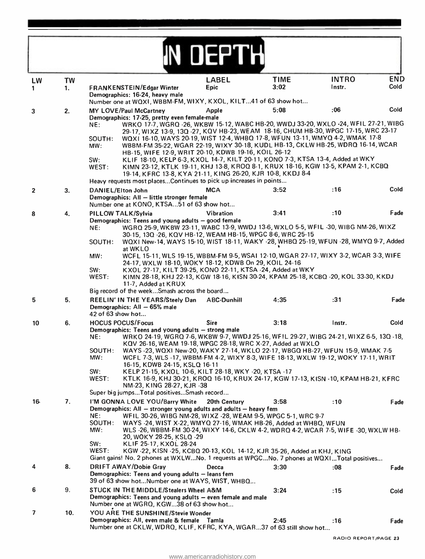|                |           |                                                                                                                                                                                                                                                                                                                                                  | <b>DEPTH</b>       |             |              |            |
|----------------|-----------|--------------------------------------------------------------------------------------------------------------------------------------------------------------------------------------------------------------------------------------------------------------------------------------------------------------------------------------------------|--------------------|-------------|--------------|------------|
| LW             | <b>TW</b> |                                                                                                                                                                                                                                                                                                                                                  | <b>LABEL</b>       | <b>TIME</b> | <b>INTRO</b> | <b>END</b> |
| 1              | 1.        | FRANKENSTEIN/Edgar Winter                                                                                                                                                                                                                                                                                                                        | <b>Epic</b>        | 3:02        | Instr.       | Cold       |
|                |           | Demographics: 16-24, heavy male<br>Number one at WQXI, WBBM-FM, WIXY, KXOL, KILT41 of 63 show hot                                                                                                                                                                                                                                                |                    |             |              |            |
| 3              | 2.        | MY LOVE/Paul McCartney                                                                                                                                                                                                                                                                                                                           | Apple              | 5:08        | :06          | Cold       |
|                |           | Demographics: 17-25, pretty even female-male<br>WRKO 17-7, WGRQ -26, WKBW 15-12, WABC HB-20, WWDJ 33-20, WXLO -24, WFIL 27-21, WIBG<br>NE:                                                                                                                                                                                                       |                    |             |              |            |
|                |           | 29-17, WIXZ 13-9, 13Q-27, KQV HB-23, WEAM 18-16, CHUM HB-30, WPGC 17-15, WRC 23-17<br>WQXI 16-10, WAYS 20-19, WIST 12-4, WHBQ 17-8, WFUN 13-11, WMYQ 4-2, WMAK 17-8<br>SOUTH:<br>WBBM-FM 35-22, WGAR 22-19, WIXY 30-18, KUDL HB-13, CKLW HB-25, WDRQ 16-14, WCAR<br>MW:<br>HB-15, WIFE 12-9, WRIT 20-10, KDWB 19-16, KOIL 26-12                  |                    |             |              |            |
|                |           | KLIF 18-10, KELP 6-3, KXOL 14-7, KILT 20-11, KONO 7-3, KTSA 13-4, Added at WKY<br>SW:<br>KIMN 23-12, KTLK 19-11, KHJ 13-8, KROQ 8-1, KRUX 18-16, KGW 13-5, KPAM 2-1, KCBQ<br>WEST:<br>19-14, KFRC 13-8, KYA 21-11, KING 26-20, KJR 10-8, KKDJ 8-4<br>Heavy requests most placesContinues to pick up increases in points                          |                    |             |              |            |
|                |           | <b>DANIEL/Elton John</b>                                                                                                                                                                                                                                                                                                                         | <b>MCA</b>         | 3:52        | :16          | Cold       |
| $\overline{2}$ | 3.        | Demographics: All - little stronger female<br>Number one at KONO, KTSA51 of 63 show hot                                                                                                                                                                                                                                                          |                    |             |              |            |
| 8              | 4.        | PILLOW TALK/Sylvia                                                                                                                                                                                                                                                                                                                               | <b>Vibration</b>   | 3:41        | :10          | Fade       |
|                |           | Demographics: Teens and young adults - good female<br>WGRQ 25-9, WKBW 23-11, WABC 13-9, WWDJ 13-6, WXLO 5-5, WFIL-30, WIBG NM-26, WIXZ<br>NE:<br>30-15, 13Q-26, KQV HB-12, WEAM HB-15, WPGC 8-6, WRC 25-15                                                                                                                                       |                    |             |              |            |
|                |           | WQXI New-14, WAYS 15-10, WIST 18-11, WAKY -28, WHBQ 25-19, WFUN -28, WMYQ 9-7, Added<br>SOUTH:<br>at WKLO<br>WCFL 15-11, WLS 19-15, WBBM-FM 9-5, WSAI 12-10, WGAR 27-17, WIXY 3-2, WCAR 3-3, WIFE<br>MW:                                                                                                                                         |                    |             |              |            |
|                |           | 24-17, WXLW 18-10, WOKY 18-12, KDWB On 29, KOIL 24-16<br>SW:<br>KXOL 27-17, KILT 39-25, KONO 22-11, KTSA -24, Added at WKY<br>KIMN 28-18, KHJ 22-13, KGW 18-16, KISN 30-24, KPAM 25-18, KCBQ -20, KOL 33-30, KKDJ<br>WEST:                                                                                                                       |                    |             |              |            |
|                |           | 11-7, Added at KRUX<br>Big record of the weekSmash across the board                                                                                                                                                                                                                                                                              |                    |             |              |            |
| 5              | 5.        | REELIN' IN THE YEARS/Steely Dan<br>Demographics: All - 65% male<br>42 of 63 show hot                                                                                                                                                                                                                                                             | <b>ABC-Dunhill</b> | 4:35        | :31          | Fade       |
| 10             | 6.        | <b>HOCUS POCUS/Focus</b>                                                                                                                                                                                                                                                                                                                         | <b>Sire</b>        | 3:18        | Instr.       | Cold       |
|                |           | Demographics: Teens and young adults - strong male<br>WRKO 24-19, WGRQ 7-6, WKBW 9-7, WWDJ 25-16, WFIL 29-27, WIBG 24-21, WIXZ 6-5, 13Q -18,<br>NE:                                                                                                                                                                                              |                    |             |              |            |
|                |           | KQV 26-16, WEAM 19-18, WPGC 28-18, WRC X-27, Added at WXLO<br>WAYS -23, WQXI New-20, WAKY 27-14, WKLO 22-17, WBGQ HB-27, WFUN 15-9, WMAK 7-5<br>SOUTH:<br>WCFL 7-3, WLS -17, WBBM-FM 4-2, WIXY 8-3, WIFE 18-13, WXLW 19-12, WOKY 17-11, WRIT<br>MW:                                                                                              |                    |             |              |            |
|                |           | 16-15, KDWB 24-15, KSLQ 16-11<br>SW:<br>KELP 21-15, KXOL 10-6, KILT 28-18, WKY -20, KTSA -17<br>WEST:<br>KTLK 16-9, KHJ 30-21, KROQ 16-10, KRUX 24-17, KGW 17-13, KISN -10, KPAM HB-21, KFRC                                                                                                                                                     |                    |             |              |            |
|                |           | NM-23, KING 28-27, KJR -38<br>Super big jumpsTotal positivesSmash record                                                                                                                                                                                                                                                                         |                    |             |              |            |
| $16 -$         | 7.        | I'M GONNA LOVE YOU/Barry White                                                                                                                                                                                                                                                                                                                   | 20th Century       | 3:58        | :10          | Fade       |
|                |           | Demographics: All - stronger young adults and adults - heavy fem<br>WFIL 30-26, WIBG NM-28, WIXZ -28, WEAM 9-5, WPGC 5-1, WRC 9-7<br>NE:<br>WAYS -24, WIST X-22, WMYQ 27-16, WMAK HB-26, Added at WHBQ, WFUN<br>SOUTH:<br>MW:<br>WLS -26, WBBM-FM 30-24, WIXY 14-6, CKLW 4-2, WDRQ 4-2, WCAR 7-5, WIFE -30, WXLW HB-<br>20, WOKY 28-25, KSLQ -29 |                    |             |              |            |
|                |           | SW:<br>KLIF 25-17, KXOL 28-24<br>WEST:<br>KGW -22, KISN -25, KCBQ 20-13, KOL 14-12, KJR 35-26, Added at KHJ, KING<br>Giant gains! No. 2 phones at WXLWNo. 1 requests at WPGCNo. 7 phones at WQXITotal positives                                                                                                                                  |                    |             |              |            |
| 4              | 8.        | <b>DRIFT AWAY/Dobie Gray</b>                                                                                                                                                                                                                                                                                                                     | Decca              | 3:30        | :08          | Fade       |
|                |           | Demographics: Teens and young adults - leans fem<br>39 of 63 show hotNumber one at WAYS, WIST, WHBQ                                                                                                                                                                                                                                              |                    |             |              |            |
| 6              | 9.        | STUCK IN THE MIDDLE/Stealers Wheel A&M<br>Demographics: Teens and young adults - even female and male<br>Number one at WGRQ, KGW38 of 63 show hot                                                                                                                                                                                                |                    | 3:24        | :15          | Cold       |
| $\overline{ }$ | 10.       | YOU ARE THE SUNSHINE/Stevie Wonder                                                                                                                                                                                                                                                                                                               |                    |             |              |            |
|                |           | Demographics: All, even male & female Tamla<br>Number one at CKLW, WDRQ, KLIF, KFRC, KYA, WGAR37 of 63 still show hot                                                                                                                                                                                                                            |                    | 2:45        | :16          | Fade       |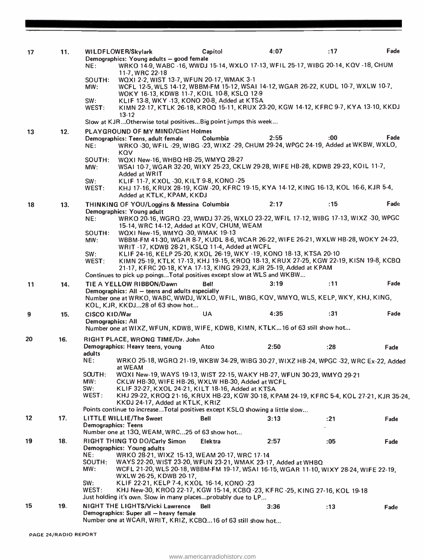| 17 | 11. | WILDFLOWER/Skylark<br>NE:          | Demographics: Young adults - good female<br>WRKO 14-9, WABC -16, WWDJ 15-14, WXLO 17-13, WFIL 25-17, WIBG 20-14, KQV -18, CHUM                                                                                                                                                       | Capitol        | 4:07 | :17  | Fade |
|----|-----|------------------------------------|--------------------------------------------------------------------------------------------------------------------------------------------------------------------------------------------------------------------------------------------------------------------------------------|----------------|------|------|------|
|    |     | SOUTH:<br>MW:<br>SW:               | 11-7, WRC 22-18<br>WQXI 2-2, WIST 13-7, WFUN 20-17, WMAK 3-1<br>WCFL 12-5, WLS 14-12, WBBM-FM 15-12, WSAI 14-12, WGAR 26-22, KUDL 10-7, WXLW 10-7,<br>WOKY 16-13, KDWB 11-7, KOIL 10-8, KSLQ 12-9<br>KLIF 13-8, WKY -13, KONO 20-8, Added at KTSA                                    |                |      |      |      |
|    |     | WEST:                              | KIMN 22-17, KTLK 26-18, KROQ 15-11, KRUX 23-20, KGW 14-12, KFRC 9-7, KYA 13-10, KKDJ<br>$13 - 12$                                                                                                                                                                                    |                |      |      |      |
|    |     |                                    | Slow at KJROtherwise total positivesBig point jumps this week                                                                                                                                                                                                                        |                |      |      |      |
| 13 | 12. | NE:                                | <b>PLAYGROUND OF MY MIND/Clint Holmes</b><br>Demographics: Teens, adult female<br>WRKO -30, WFIL -29, WIBG -23, WIXZ -29, CHUM 29-24, WPGC 24-19, Added at WKBW, WXLO,<br>KQV                                                                                                        | Columbia       | 2:55 | :00  | Fade |
|    |     | SOUTH:<br>MW:                      | WQX1 New-16, WHBQ HB-25, WMYQ 28-27<br>WSAI 10-7, WGAR 32-20, WIXY 25-23, CKLW 29-28, WIFE HB-28, KDWB 29-23, KOIL 11-7,<br>Added at WRIT                                                                                                                                            |                |      |      |      |
|    |     | SW:<br>WEST:                       | KLIF 11-7, KXOL -30, KILT 9-8, KONO -25<br>KHJ 17-16, KRUX 28-19, KGW -20, KFRC 19-15, KYA 14-12, KING 16-13, KOL 16-6, KJR 5-4,<br>Added at KTLK, KPAM, KKDJ                                                                                                                        |                |      |      |      |
| 18 | 13. |                                    | THINKING OF YOU/Loggins & Messina Columbia<br>Demographics: Young adult                                                                                                                                                                                                              |                | 2:17 | :15  | Fade |
|    |     | NE:<br>SOUTH:<br>MW:               | WRKO 20-16, WGRQ -23, WWDJ 37-25, WXLO 23-22, WFIL 17-12, WIBG 17-13, WIXZ -30, WPGC<br>15-14, WRC 14-12, Added at KQV, CHUM, WEAM<br>WQX1 New-15, WMYQ -30, WMAK 19-13<br>WBBM-FM 41-30, WGAR 8-7, KUDL 8-6, WCAR 26-22, WIFE 26-21, WXLW HB-28, WOKY 24-23,                        |                |      |      |      |
|    |     | SW:<br>WEST:                       | WRIT -17, KDWB 28-21, KSLQ 11-4, Added at WCFL<br>KLIF 24-16, KELP 25-20, KXOL 26-19, WKY -19, KONO 18-13, KTSA 20-10<br>KIMN 25-19, KTLK 17-13, KHJ 19-15, KROQ 18-13, KRUX 27-25, KGW 22-19, KISN 19-8, KCBQ<br>21-17, KFRC 20-18, KYA 17-13, KING 29-23, KJR 25-19, Added at KPAM |                |      |      |      |
|    |     |                                    | Continues to pick up poings Total positives except slow at WLS and WKBW                                                                                                                                                                                                              |                |      |      | Fade |
| 11 | 14. |                                    | TIE A YELLOW RIBBON/Dawn<br>Demographics: All - teens and adults especially<br>Number one at WRKO, WABC, WWDJ, WXLO, WFIL, WIBG, KQV, WMYQ, WLS, KELP, WKY, KHJ, KING,<br>KOL, KJR, KKDJ28 of 63 show hot                                                                            | <b>Bell</b>    | 3:19 | :11  |      |
| 9  | 15. | CISCO KID/War<br>Demographics: All | Number one at WIXZ, WFUN, KDWB, WIFE, KDWB, KIMN, KTLK16 of 63 still show hot                                                                                                                                                                                                        | <b>UA</b>      | 4:35 | :31  | Fade |
| 20 | 16. |                                    | RIGHT PLACE, WRONG TIME/Dr. John                                                                                                                                                                                                                                                     |                |      |      |      |
|    |     | adults                             | Demographics: Heavy teens, young                                                                                                                                                                                                                                                     | Atco           | 2:50 | :28  | Fade |
|    |     | NE:                                | WRKO 25-18, WGRQ 21-19, WKBW 34-29, WIBG 30-27, WIXZ HB-24, WPGC -32, WRC Ex-22, Added<br>at WEAM                                                                                                                                                                                    |                |      |      |      |
|    |     | SOUTH:<br>MW:<br>SW:<br>WEST:      | WQXI New-19, WAYS 19-13, WIST 22-15, WAKY HB-27, WFUN 30-23, WMYQ 29-21<br>CKLW HB-30, WIFE HB-26, WXLW HB-30, Added at WCFL<br>KLIF 32-27, KXOL 24-21, KILT 18-16, Added at KTSA<br>KHJ 29-22, KROQ 21-16, KRUX HB-23, KGW 30-18, KPAM 24-19, KFRC 5-4, KOL 27-21, KJR 35-24,       |                |      |      |      |
|    |     |                                    | KKDJ 24-17, Added at KTLK, KRIZ<br>Points continue to increaseTotal positives except KSLQ showing a little slow                                                                                                                                                                      |                |      |      |      |
| 12 | 17. | <b>Demographics: Teens</b>         | <b>LITTLE WILLIE/The Sweet</b><br>Number one at 13Q, WEAM, WRC25 of 63 show hot                                                                                                                                                                                                      | <b>Bell</b>    | 3:13 | : 21 | Fade |
| 19 | 18. | NE:                                | RIGHT THING TO DO/Carly Simon<br>Demographics: Young adults<br>WRKO 28-21, WIXZ 15-13, WEAM 20-17, WRC 17-14                                                                                                                                                                         | <b>Elektra</b> | 2:57 | :05  | Fade |
|    |     | SOUTH:<br>MW:<br>SW:               | WAYS 22-20, WIST 23-20, WFUN 23-21, WMAK 23-17, Added at WHBQ<br>WCFL 21-20, WLS 20-18, WBBM-FM 19-17, WSAI 16-15, WGAR 11-10, WIXY 28-24, WIFE 22-19,<br>WXLW 26-25, KDWB 20-17,<br>KLIF 22-21, KELP 7-4, KXOL 16-14, KONO -23                                                      |                |      |      |      |
|    |     | WEST:                              | KHJ New-30, KROQ 22-17, KGW 15-14, KCBQ -23, KFRC -25, KING 27-16, KOL 19-18<br>Just holding it's own. Slow in many placesprobably due to LP                                                                                                                                         |                |      |      |      |
| 15 | 19. |                                    | NIGHT THE LIGHTS/Vicki Lawrence<br>Demographics: Super all - heavy female<br>Number one at WCAR, WRIT, KRIZ, KCBQ16 of 63 still show hot                                                                                                                                             | <b>Bell</b>    | 3:36 | :13  | Fade |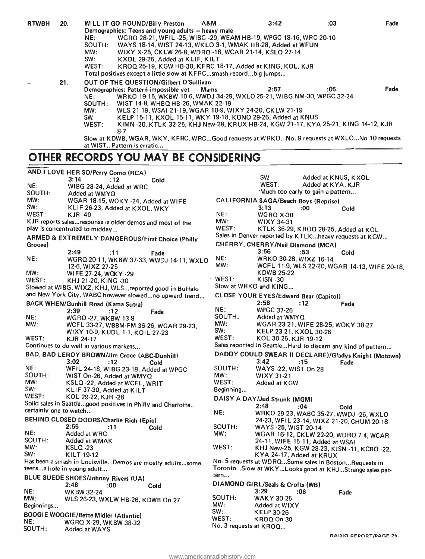| <b>RTWBH</b> | 20. |           | WILL IT GO ROUND/Billy Preston                                                               | A&M  | 3:42 | :03 | Fade |
|--------------|-----|-----------|----------------------------------------------------------------------------------------------|------|------|-----|------|
|              |     |           | Demographics: Teens and young adults - heavy male                                            |      |      |     |      |
|              |     | NE:       | WGRQ 28-21, WFIL-25, WIBG-29, WEAM HB-19, WPGC 18-16, WRC 20-10                              |      |      |     |      |
|              |     | SOUTH:    | WAYS 18-14, WIST 24-13, WKLO 3-1, WMAK HB-28, Added at WFUN                                  |      |      |     |      |
|              |     | MW:       | WIXY X-25, CKLW 26-8, WDRQ -18, WCAR 21-14, KSLQ 27-14                                       |      |      |     |      |
|              |     | SW:       | KXOL 29-25, Added at KLIF, KILT                                                              |      |      |     |      |
|              |     | WEST:     | KROQ 25-19, KGW HB-30, KFRC 18-17, Added at KING, KOL, KJR                                   |      |      |     |      |
|              |     |           | Total positives except a little slow at KFRCsmash recordbig jumps                            |      |      |     |      |
|              | 21. |           | <b>OUT OF THE QUESTION/Gilbert O'Sullivan</b>                                                |      |      |     |      |
|              |     |           | Demographics: Pattern impossible yet                                                         | Mams | 2:57 | :05 | Fade |
|              |     | NE:       | WRKO 19-15, WKBW 10-6, WWDJ 34-29, WXLO 25-21, WIBG NM-30, WPGC 32-24                        |      |      |     |      |
|              |     | SOUTH:    | WIST 14-8, WHBQ HB-26, WMAK 22-19                                                            |      |      |     |      |
|              |     | MW:       | WLS 21-19, WSAI 21-19, WGAR 10-9, WIXY 24-20, CKLW 21-19                                     |      |      |     |      |
|              |     | <b>SW</b> | KELP 15-11, KXOL 15-11, WKY 19-18, KONO 29-26, Added at KNUS                                 |      |      |     |      |
|              |     | WEST:     | KIMN -20, KTLK 32-25, KHJ New-28, KRUX HB-24, KGW 21-17, KYA 25-21, KING 14-12, KJR<br>$8-7$ |      |      |     |      |
|              |     |           | Slow at KDWB, WGAR, WKY, KFRC, WRCGood requests at WRKONo. 9 requests at WXLONo 10 requests  |      |      |     |      |
|              |     |           | at WISTPattern is erratic                                                                    |      |      |     |      |

#### OTHER RECORDS YOU MAY BE CONSIDERING

| AND I LOVE HER SO/Perry Como (RCA)<br>3:14<br>:12<br>Cold<br>NE:<br>WIBG 28-24, Added at WRC<br>SOUTH:<br>Added at WMYQ<br>MW:<br>WGAR 18-15, WOKY -24, Added at WIFE<br>SW:<br>KLIF 26-23, Added at KXOL, WKY<br>WEST:<br>NE:<br><b>KJR-40</b><br>MW:<br>KJR reports salesresponse is older demos and most of the<br>play is concentrated to midday<br>ARMED & EXTREMELY DANGEROUS/First Choice (Philly<br>Groove)<br>2:49<br>:11<br>Fade<br>NE:<br>NE:<br>WGRQ 20-11, WKBW 37-33, WWDJ 14-11, WXLO<br>MW:<br>12-6, WIXZ 27-25<br>MW:<br>WIFE 27-24, WOKY -29<br>WEST:<br>WEST:<br>KHJ 21-20, KING -30<br>Slowed at WIBG, WIXZ, KHJ, WLSreported good in Buffalo<br>and New York City, WABC however slowedno upward trend<br><b>BACK WHEN/Gunhill Road (Kama Sutra)</b><br>NE:<br>2:39<br>:12<br>Fade<br>NE:<br><b>WGRQ-27, WKBW 13-8</b><br>MW:<br>MW: | <b>CALIF</b><br>WEST:<br>Sales in<br><b>CHERF</b><br>Slow at<br><b>CLOSE</b> |
|----------------------------------------------------------------------------------------------------------------------------------------------------------------------------------------------------------------------------------------------------------------------------------------------------------------------------------------------------------------------------------------------------------------------------------------------------------------------------------------------------------------------------------------------------------------------------------------------------------------------------------------------------------------------------------------------------------------------------------------------------------------------------------------------------------------------------------------------------------|------------------------------------------------------------------------------|
|                                                                                                                                                                                                                                                                                                                                                                                                                                                                                                                                                                                                                                                                                                                                                                                                                                                          |                                                                              |
|                                                                                                                                                                                                                                                                                                                                                                                                                                                                                                                                                                                                                                                                                                                                                                                                                                                          |                                                                              |
|                                                                                                                                                                                                                                                                                                                                                                                                                                                                                                                                                                                                                                                                                                                                                                                                                                                          |                                                                              |
|                                                                                                                                                                                                                                                                                                                                                                                                                                                                                                                                                                                                                                                                                                                                                                                                                                                          |                                                                              |
|                                                                                                                                                                                                                                                                                                                                                                                                                                                                                                                                                                                                                                                                                                                                                                                                                                                          |                                                                              |
|                                                                                                                                                                                                                                                                                                                                                                                                                                                                                                                                                                                                                                                                                                                                                                                                                                                          |                                                                              |
|                                                                                                                                                                                                                                                                                                                                                                                                                                                                                                                                                                                                                                                                                                                                                                                                                                                          |                                                                              |
|                                                                                                                                                                                                                                                                                                                                                                                                                                                                                                                                                                                                                                                                                                                                                                                                                                                          |                                                                              |
|                                                                                                                                                                                                                                                                                                                                                                                                                                                                                                                                                                                                                                                                                                                                                                                                                                                          |                                                                              |
|                                                                                                                                                                                                                                                                                                                                                                                                                                                                                                                                                                                                                                                                                                                                                                                                                                                          |                                                                              |
|                                                                                                                                                                                                                                                                                                                                                                                                                                                                                                                                                                                                                                                                                                                                                                                                                                                          |                                                                              |
|                                                                                                                                                                                                                                                                                                                                                                                                                                                                                                                                                                                                                                                                                                                                                                                                                                                          |                                                                              |
|                                                                                                                                                                                                                                                                                                                                                                                                                                                                                                                                                                                                                                                                                                                                                                                                                                                          |                                                                              |
|                                                                                                                                                                                                                                                                                                                                                                                                                                                                                                                                                                                                                                                                                                                                                                                                                                                          |                                                                              |
|                                                                                                                                                                                                                                                                                                                                                                                                                                                                                                                                                                                                                                                                                                                                                                                                                                                          |                                                                              |
|                                                                                                                                                                                                                                                                                                                                                                                                                                                                                                                                                                                                                                                                                                                                                                                                                                                          |                                                                              |
|                                                                                                                                                                                                                                                                                                                                                                                                                                                                                                                                                                                                                                                                                                                                                                                                                                                          |                                                                              |
|                                                                                                                                                                                                                                                                                                                                                                                                                                                                                                                                                                                                                                                                                                                                                                                                                                                          |                                                                              |
|                                                                                                                                                                                                                                                                                                                                                                                                                                                                                                                                                                                                                                                                                                                                                                                                                                                          |                                                                              |
|                                                                                                                                                                                                                                                                                                                                                                                                                                                                                                                                                                                                                                                                                                                                                                                                                                                          |                                                                              |
|                                                                                                                                                                                                                                                                                                                                                                                                                                                                                                                                                                                                                                                                                                                                                                                                                                                          | SOUTH                                                                        |
|                                                                                                                                                                                                                                                                                                                                                                                                                                                                                                                                                                                                                                                                                                                                                                                                                                                          |                                                                              |
| WCFL 33-27, WBBM-FM 36-26, WGAR 29-23,<br>SW:<br>WIXY 10-9, KUDL 1-1, KOIL 27-23                                                                                                                                                                                                                                                                                                                                                                                                                                                                                                                                                                                                                                                                                                                                                                         |                                                                              |
| WEST:<br>KJR 24-17                                                                                                                                                                                                                                                                                                                                                                                                                                                                                                                                                                                                                                                                                                                                                                                                                                       | WEST:                                                                        |
| Continues to do well in various markets                                                                                                                                                                                                                                                                                                                                                                                                                                                                                                                                                                                                                                                                                                                                                                                                                  | Sales re                                                                     |
|                                                                                                                                                                                                                                                                                                                                                                                                                                                                                                                                                                                                                                                                                                                                                                                                                                                          |                                                                              |
| BAD, BAD LEROY BROWN/Jim Croce (ABC-Dunhill)                                                                                                                                                                                                                                                                                                                                                                                                                                                                                                                                                                                                                                                                                                                                                                                                             | <b>DADD</b>                                                                  |
| 3:02<br>:12<br>Cold                                                                                                                                                                                                                                                                                                                                                                                                                                                                                                                                                                                                                                                                                                                                                                                                                                      |                                                                              |
| NE:<br>WFIL 24-18, WIBG 23-18, Added at WPGC                                                                                                                                                                                                                                                                                                                                                                                                                                                                                                                                                                                                                                                                                                                                                                                                             | SOUTH                                                                        |
| SOUTH:<br>MW:<br>WIST On-26, Added at WMYQ                                                                                                                                                                                                                                                                                                                                                                                                                                                                                                                                                                                                                                                                                                                                                                                                               |                                                                              |
| MW:<br>KSLQ -22, Added at WCFL, WRIT                                                                                                                                                                                                                                                                                                                                                                                                                                                                                                                                                                                                                                                                                                                                                                                                                     | WEST:                                                                        |
| SW:<br>KLIF 37-30, Added at KILT                                                                                                                                                                                                                                                                                                                                                                                                                                                                                                                                                                                                                                                                                                                                                                                                                         | Beginnii                                                                     |
| WEST:<br>KOL 29-22, KJR -28                                                                                                                                                                                                                                                                                                                                                                                                                                                                                                                                                                                                                                                                                                                                                                                                                              | <b>DAISY</b>                                                                 |
| Solid sales in Seattlegood positives in Philly and Charlotte                                                                                                                                                                                                                                                                                                                                                                                                                                                                                                                                                                                                                                                                                                                                                                                             |                                                                              |
| certainly one to watch<br>NE:                                                                                                                                                                                                                                                                                                                                                                                                                                                                                                                                                                                                                                                                                                                                                                                                                            |                                                                              |
| BEHIND CLOSED DOORS/Charlie Rich (Epic)                                                                                                                                                                                                                                                                                                                                                                                                                                                                                                                                                                                                                                                                                                                                                                                                                  |                                                                              |
| 2:55<br>:11<br>Cold                                                                                                                                                                                                                                                                                                                                                                                                                                                                                                                                                                                                                                                                                                                                                                                                                                      | SOUTH                                                                        |
| NE:<br>Added at WRC<br>MW:                                                                                                                                                                                                                                                                                                                                                                                                                                                                                                                                                                                                                                                                                                                                                                                                                               |                                                                              |
| SOUTH:<br>Added at WMAK                                                                                                                                                                                                                                                                                                                                                                                                                                                                                                                                                                                                                                                                                                                                                                                                                                  |                                                                              |
| MW:<br><b>KSLQ -23</b>                                                                                                                                                                                                                                                                                                                                                                                                                                                                                                                                                                                                                                                                                                                                                                                                                                   | WEST:                                                                        |
| SW:<br>KILT 19-12                                                                                                                                                                                                                                                                                                                                                                                                                                                                                                                                                                                                                                                                                                                                                                                                                                        |                                                                              |
| Has been a smash in LouisvilleDemos are mostly adultssome                                                                                                                                                                                                                                                                                                                                                                                                                                                                                                                                                                                                                                                                                                                                                                                                | No. 5 re                                                                     |
| teensa hole in young adult                                                                                                                                                                                                                                                                                                                                                                                                                                                                                                                                                                                                                                                                                                                                                                                                                               | Toronto                                                                      |
| tern                                                                                                                                                                                                                                                                                                                                                                                                                                                                                                                                                                                                                                                                                                                                                                                                                                                     |                                                                              |
| BLUE SUEDE SHOES/Johnny Rivers (UA)                                                                                                                                                                                                                                                                                                                                                                                                                                                                                                                                                                                                                                                                                                                                                                                                                      | <b>DIAMO</b>                                                                 |
| 2:48<br>:00<br>Cold                                                                                                                                                                                                                                                                                                                                                                                                                                                                                                                                                                                                                                                                                                                                                                                                                                      |                                                                              |
| NE:<br><b>WKBW 32-24</b>                                                                                                                                                                                                                                                                                                                                                                                                                                                                                                                                                                                                                                                                                                                                                                                                                                 |                                                                              |
| MW:<br>WLS 26-23, WXLW HB-26, KDWB On 27                                                                                                                                                                                                                                                                                                                                                                                                                                                                                                                                                                                                                                                                                                                                                                                                                 | <b>SOUTH:</b>                                                                |
| MW:<br>Beginnings                                                                                                                                                                                                                                                                                                                                                                                                                                                                                                                                                                                                                                                                                                                                                                                                                                        |                                                                              |
| SW:<br><b>BOOGIE WOOGIE/Bette Midler (Atlantic)</b>                                                                                                                                                                                                                                                                                                                                                                                                                                                                                                                                                                                                                                                                                                                                                                                                      |                                                                              |
| NE:<br><b>WGRQ X-29, WKBW 38-32</b>                                                                                                                                                                                                                                                                                                                                                                                                                                                                                                                                                                                                                                                                                                                                                                                                                      |                                                                              |
| No. 3 re<br>SOUTH:<br>Added at WAYS                                                                                                                                                                                                                                                                                                                                                                                                                                                                                                                                                                                                                                                                                                                                                                                                                      | WEST:                                                                        |

|                        | sw<br>Added at KNUS, KXOL                                     |
|------------------------|---------------------------------------------------------------|
|                        | WEST:<br>Added at KYA, KJR                                    |
|                        | 'Much too early to gain a pattern                             |
|                        | CALIFORNIA SAGA/Beach Boys (Reprise)<br>3:13<br>:00           |
| NE:                    | Cold<br><b>WGRQ X-30</b>                                      |
| MW:                    | WIXY 34-31                                                    |
| WEST:                  | KTLK 36-29, KROQ 28-25, Added at KOL                          |
|                        | Sales in Denver reported by KTLKheavy requests at KGW         |
|                        | CHERRY, CHERRY/Neil Diamond (MCA)                             |
|                        | 3:56<br>:53                                                   |
| NE:                    | Cold<br>WRKO 30-28, WIXZ 16-14                                |
| MW:                    | WCFL 11-9, WLS 22-20, WGAR 14-13, WIFE 20-18,                 |
|                        | <b>KDWB 25-22</b>                                             |
| WEST:                  | KISN -30                                                      |
|                        | Slow at WRKO and KING                                         |
|                        | CLOSE YOUR EYES/Edward Bear (Capitol)                         |
|                        | 2:58<br>:12<br>Fade                                           |
| NE:                    | <b>WPGC 37-26</b>                                             |
| SOUTH:                 | Added at WMYQ                                                 |
| MW:                    | WGAR 23-21, WIFE 28-25, WOKY 38-27                            |
| SW:                    | KELP 23-21, KXOL 30-26                                        |
| WEST:                  | KOL 30-25, KJR 19-12                                          |
|                        | Sales reported in Seattle Hard to discern any kind of pattern |
|                        | DADDY COULD SWEAR (I DECLARE)/Gladys Knight (Motown)          |
|                        | 3:42<br>:15<br>Fade                                           |
| SOUTH:                 | WAYS -22, WIST On 28                                          |
| MW:                    | WIXY 31-21                                                    |
| WEST:                  | Added at KGW                                                  |
| Beginning              |                                                               |
|                        | DAISY A DAY/Jud Strunk (MGM)                                  |
|                        | 2:48<br>:04<br>Cold                                           |
| NE:                    | WRKO 29-23, WABC 35-27, WWDJ -26, WXLO                        |
|                        | 24-23, WFIL 23-14, WIXZ 21-20, CHUM 20-18                     |
| SOUTH:                 | WAYS -25, WIST 20-14                                          |
| MW:                    | WGAR 16-12, CKLW 22-20, WDRQ 7-4, WCAR                        |
|                        | 24-11, WIFE 15-11, Added at WSAI                              |
| WEST:                  | KHJ New-25, KGW 28-23, KISN -11, KCBQ -22,                    |
|                        | KYA 24-17, Added at KRUX                                      |
|                        | No. 5 requests at WDRQSome sales in BostonRequests in         |
| tern                   | TorontoSlow at WKYLooks good at KHJStrange sales pat-         |
|                        |                                                               |
|                        | DIAMOND GIRL/Seals & Crofts (WB)<br>3:29                      |
| SOUTH:                 | :06<br>Fade<br><b>WAKY 30-25</b>                              |
| MW:                    | Added at WIXY                                                 |
| SW:                    | <b>KELP 30-26</b>                                             |
| $\mathsf{WEST}\colon$  | KROQ On 30                                                    |
| No. 3 requests at KROQ |                                                               |
|                        |                                                               |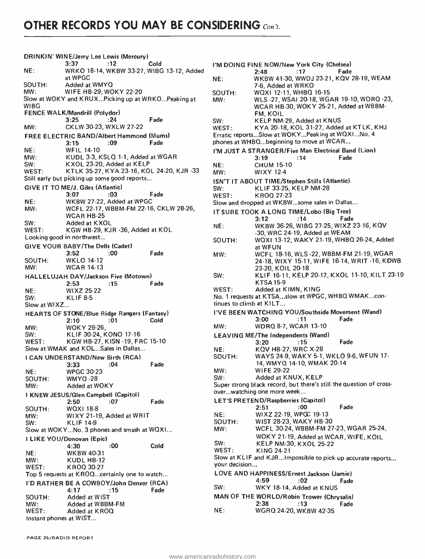DRINKIN' WINE/Jerry Lee Lewis (Mercury)<br>3:37 .12 3:37 :12 Cold NE: WRKO 18 -14, WKBW 33 -27, WIBG 13 -12, Added at WPGC SOUTH: Added at WMYQ<br>MW: WIFE HB-29, WC WIFE HB-29, WOKY 22-20 Slow at WOKY and KRUX...Picking up at WRKO...Peaking at WIBG FENCE WALK/Mandrill (Polydor)<br>24: 3:25 3:25 :24 Fade MW: CKLW 30 -23, WXLW 27 -22 FREE ELECTRIC BAND/Albert Hammond (Mums) 3:15 :09 Fade NE: WFIL 14-10<br>MW: KUDL 3-3. MW: KUDL 3-3, KSLQ 1-1, Added at WGAR<br>SW: KXOL 23-20, Added at KELP KXOL 23-20, Added at KELP WEST: KTLK 35-27, KYA 23-16, KOL 24-20, KJR -33 MW: Still early but picking up some good reports... GIVE IT TO ME/J. Giles (Atlantic)<br>3:07 :03 3:07 :03 Fade NE: WKBW 27 -22, Added at WPGC MW: WCFL 22 -17, WBBM -FM 22 -16, CKLW 28 -26, WCAR HB-25 SW: Added at KXOL WEST: KGW HB-29, KJR -36, Added at KOL Looking good in northwest... GIVE YOUR BABY/The Dells (Cadet)<br>00: 00 Fade SOUTH: WKLO 14-12 MW: WCAR 14 -13 HALLELUJAH DAY/Jackson Five (Motown)<br>15: 15: 2:53 :15 Fade NE: WIXZ 25 -22 SW: KLIF 8 -5 Slow at WIXZ... HEARTS OF STONE/Blue Ridge Rangers (Fantasy)<br>2:10 :01 Cold  $2:10$ MW: WOKY 29-26,<br>SW: KLIF 30-24, N SW: KLIF 30-24, KONO 17-16<br>WEST: KGW HB-27, KISN -19, FI KGW HB-27, KISN -19, FRC 15-10 Slow at WMAK and KOL...Sales in Dallas... I CAN UNDERSTAND/New Birth (RCA)<br>3:33 :04 Fade 3:33 :04 Fade NE: WPGC 30 -23 SOUTH: WMYQ -28 MW: Added at WOKY I KNEW JESUS/Glen Campbell (Capitol)<br>2:50 :07 Pade  $2:50$ SOUTH: WQXI 18-8 MW: WIXY 21-19, Added at WRIT SW: KLIF 14 -9 Slow at WOKY...No. 3 phones and smash at WQXI... I LIKE YOU/Donovan (Epic)<br>00: 4:30 4:30 :00 Cold NE: WKBW 40 -31 MW: KUDL HB-12 WEST: KROQ 30-27 Top 5 requests at KROQ...certainly one to watch... I'D RATHER BE A COWBOY/John Denver (RCA)<br>fade 4:17 15 4:17 :15 Fade SOUTH: Added at WIST MW: Added at WBBM -FM WEST: Added at KROQ Instant phones at WIST...

I'M DOING FINE NOW/New York City (Chelsea) 2:48 :17 Fade NE: WKBW 41 -30, WWDJ 23 -21, KQV 28 -19, WEAM 7 -6, Added at WRKO SOUTH: WQXI 12-11, WHBQ 16-15<br>MW: WLS -27, WSAI 20-18, WG WLS -27, WSAI 20-18, WGAR 19-10, WDRQ -23, WCAR HB-30, WOKY 25-21, Added at WBBM-FM, KOIL SW: KELP NM -29, Added at KNUS WEST: KYA 20-18, KOL 31-27, Added at KTLK, KHJ Erratic reports...Slow at WOKY...Peaking at WQXI...No. 4 phones at WHBQ...beginning to move at WCAR... I'M JUST A STRANGER/Five Man Electrical Band (Lion)<br>14 3:19 :14 Fade NE: CHUM 15 -10 WIXY 12-4 ISN'T IT ABOUT TIME /Stephen Stills (Atlantic) KLIF 33-25, KELP NM-28 WEST: KROQ 27 -23 Slow and dropped at WKBW...some sales in Dallas... IT SURE TOOK A LONG TIME/Lobo (Big Tree) 3:12 :14 Fade NE: WKBW 36 -26, WIBG 27 -25, WIXZ 23 -16, KQV -30, WRC 24 -19, Added at WEAM SOUTH: WQXI 13 -12, WAKY 21 -19, WHBQ 26 -24, Added at WFUN MW: WCFL 18 -16, WLS -22, WBBM -FM 21 -19, WGAR 24 -18, WIXY 15 -11, WIFE 16 -14, WRIT -16, KDWB 23 -20, KOIL 20 -18 SW: KLIF 16-11, KELP 20-17, KXOL 11-10, KILT 23-19 **KTSA 15-9** WEST: Added at KIMN, KING No. 1 requests at KTSA...slow at WPGC, WHBQ WMAK...continues to climb at KILT... I'VE BEEN WATCHING YOU/Southside Movement (Wand)<br>3:00 :11 Fade 3:00 :11 Fade MW: WDRQ 8 -7, WCAR 13 -10 LEAVING ME/The Independents (Wand)<br>2:20  $\cdot$ 15  $3:20$  :15 NE: KQV HB-27, WRC X-28<br>SOUTH: WAYS 24-9, WAKY 5-1, WAYS 24-9, WAKY 5-1, WKLO 9-6, WFUN 17-14, WMYQ 14 -10, WMAK 20 -14 MW: WIFE 29 -22 SW: Added at KNUX, KELP Super strong black record, but there's still the question of crossover...watching one more week... LET'S PRETEND /Raspberries (Capitol) 2:51 :00 Fade NE: WIXZ 22-19, WPGC 19-13<br>SOUTH: WIST 28-23, WAKY HB-3 SOUTH: WIST 28-23, WAKY HB-30<br>MW: WCFL 30-24, WBBM-FM 2 WCFL 30-24, WBBM-FM 27-23, WGAR 25-24, WOKY 21-19, Added at WCAR, WIFE, KOIL SW: KELP NM-30, KXOL 25-22<br>WEST: KING 24-21 KING 24-21 Slow at KLIF and KJR...Impossible to pick up accurate reports... your decision... LOVE AND HAPPINESS/Ernest Jackson (Jamie) 4:59 :02 Fade SW: WKY 18-14, Added at KNUS MAN OF THE WORLD/Robin Trower (Chrysalis)<br>2:38 13 2:38 :13 Fade NE: WGRQ 24 -20, WKBW 42 -35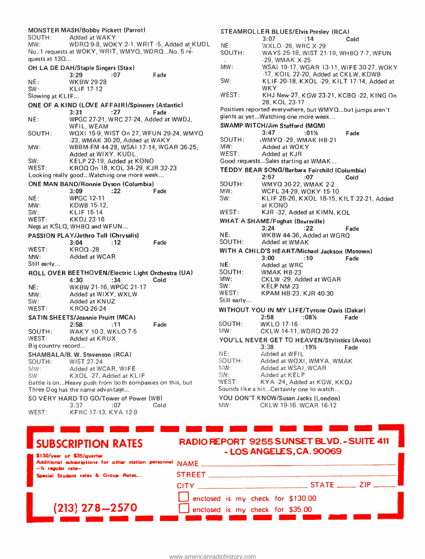|                    | <b>MONSTER MASH/Bobby Pickett (Parrot)</b>                  | $S^{\dagger}$  |
|--------------------|-------------------------------------------------------------|----------------|
| SOUTH:<br>MW:      | Added at WAKY<br>WDRQ 9-8, WOKY 2-1, WRIT -5, Added at KUDL |                |
|                    | No. 1 requests at WOKY, WRIT, WMYQ, WDRQNo. 5 re-           | NI<br>S(       |
| quests at 13Q      |                                                             |                |
|                    | OH LA DE DAH/Staple Singers (Stax)                          | M              |
|                    | 3:29<br>Fade<br>:07                                         |                |
| NE:                | <b>WKBW 29-28</b>                                           | S١             |
| SW:                | <b>KLIF 17-12</b>                                           |                |
| Slowing at KLIF    |                                                             | W              |
|                    | ONE OF A KIND (LOVE AFFAIR)/Spinners (Atlantic)             |                |
|                    | 3:31<br>:27<br>Fade                                         | Po             |
| NE:                | WPGC 27-21, WRC 27-24, Added at WWDJ,                       | gi             |
|                    | WFIL, WEAM                                                  | <b>SV</b>      |
| SOUTH:             | WQXI 15-9, WIST On 27, WFUN 29-24, WMYQ                     |                |
|                    | -23, WMAK 30-20, Added at WAKY                              | S <sub>C</sub> |
| MW:                | WBBM-FM 44-28, WSAI 17-14, WGAR 36-25,                      | M              |
|                    | Added at WIXY, KUDL                                         | W              |
| SW:                | KELP 22-19, Added at KONO                                   | G              |
| WEST:              | KROQ On 18, KOL 34-29, KJR 32-23                            | ΤI             |
|                    | Looking really good Watching one more week                  |                |
|                    | <b>ONE MAN BAND/Ronnie Dyson (Columbia)</b>                 | <sub>SC</sub>  |
|                    | :22<br>3:09<br>Fade                                         | M              |
| NE:                | <b>WPGC 12-11</b><br><b>KDWB 15-12.</b>                     | SV             |
| MW:<br>SW:         | <b>KLIF 15-14</b>                                           | W              |
| WEST:              | <b>KKDJ 23-16</b>                                           |                |
|                    | Negs at KSLQ, WHBQ and WFUN                                 | W              |
|                    | PASSION PLAY/Jethro Tull (Chrysalis)                        | ΝI             |
|                    | 3:04<br>:12<br>Fade                                         | SC             |
| WEST:              | <b>KROQ-28</b>                                              | WI             |
| MW:                | Added at WCAR                                               |                |
| Still early        |                                                             | ΝI             |
|                    | ROLL OVER BEETHOVEN/Electric Light Orchestra (UA)           | SC             |
|                    | 4:30<br>Cold<br>:34                                         | M١             |
| NE:                | WKBW 21-16, WPGC 21-17                                      | SV             |
| MW:                | Added at WIXY, WXLW                                         | WI             |
| SW:                | Added at KNUZ                                               | St.            |
| WEST:              | KROQ 26-24                                                  | WI             |
|                    | <b>SATIN SHEETS/Jeannie Pruitt (MCA)</b>                    |                |
|                    | 2:58<br>Fade<br>:11                                         | SC             |
| SOUTH:             | <b>WAKY 10-3, WKLO 7-5</b>                                  | M١             |
| WEST:              | Added at KRUX                                               | Y(             |
| Big country record |                                                             |                |
|                    | SHAMBALA/B. W. Stevenson (RCA)                              | ΝE             |
| SOUTH:             | <b>WIST 27-24</b>                                           | SO             |
| MW:                | Added at WCAR, WIFE                                         | ÎVi V          |
| SW:                | KXOL-27, Added at KLIF                                      | SИ             |
|                    | Battle is onHeavy push from both companies on this, but     | ٧Æ             |
|                    | Three Dog has the name advantage                            | So             |
|                    | SO VERY HARD TO GO/Tower of Power (WB)                      | YO             |
|                    | Cold<br>3:37<br>:07                                         | MV             |
| WEST:              | KFRC 17-13, KYA 12-9                                        |                |
|                    |                                                             |                |
|                    |                                                             |                |

#### STEAMROLLER BLUES/Elvis Presley (RCA) 3:07 :14 Cold

| NE:         | <b>WXLO -26, WRC X-29</b>                                     |
|-------------|---------------------------------------------------------------|
| SOUTH:      | WAYS 25-18, WIST 21-19, WHBQ 7-7, WFUN                        |
|             | -29, WMAK X-25                                                |
| MW:         | WSAI 19-17, WGAR 13-11, WIFE 30-27, WOKY                      |
|             | -17, KOIL 22-20, Added at CKLW, KDWB                          |
| SW:         | KLIF 20-18, KXOL -29, KILT 17-14, Added at                    |
|             |                                                               |
|             | WKY                                                           |
| WEST:       | KHJ New-27, KGW 23-21, KCBQ -22, KING On                      |
|             | 28, KOL.23-17                                                 |
|             | Positives reported everywhere, but WMYQbut jumps aren't       |
|             | giants as yetWatching one more week                           |
|             | <b>SWAMP WITCH/Jim Stafford (MGM)</b>                         |
|             | 3:47<br>:01½<br>Fade                                          |
| SOUTH:      | (WMYQ-29, WMAK HB-21                                          |
| MW:         | Added at WOKY                                                 |
| WEST:       | Added at KJR                                                  |
|             | Good requestsSales starting at WMAK                           |
|             |                                                               |
|             | TEDDY BEAR SONG/Barbara Fairchild (Columbia)                  |
|             | 2:57<br>:07<br>Cold                                           |
| SOUTH:      | WMYQ 30-22, WMAK 2-2                                          |
| MW:         | WCFL 34-29, WOKY 15-10                                        |
| SW:         | KLIF 28-26, KXOL 18-15, KILT 22-21, Added                     |
|             | at KONO                                                       |
| WEST:       | KJR -32, Added at KIMN, KOL                                   |
|             | <b>WHAT A SHAME/Foghat (Bearsville)</b>                       |
|             | 3:24<br>:22                                                   |
| NE:         | Fade                                                          |
|             | WKBW 44-36, Added at WGRQ                                     |
| SOUTH:      | Added at WMAK                                                 |
|             | WITH A CHILD'S HEART/Michael Jackson (Motown)                 |
|             | 3:00<br>:10<br>Fade                                           |
| NE:         | Added at WRC                                                  |
| SOUTH:      | WMAK HB-23                                                    |
| MW:         | CKLW -29, Added at WGAR                                       |
| SW:         | KELP NM-23                                                    |
| WEST:       | KPAM HB-23, KJR 40-30                                         |
| Still early |                                                               |
|             |                                                               |
|             | WITHOUT YOU IN MY LIFE/Tyrone Oavis (Dakar)                   |
|             | 2:58<br>:08½<br>Fade                                          |
| SOUTH:      | <b>WKLO 17-16</b>                                             |
| MW:         | CKLW 14-11, WDRQ 26-22                                        |
|             |                                                               |
|             |                                                               |
|             | YOU'LL NEVER GET TO HEAVEN/Stylistics (Avco)<br>3:38<br>Fade  |
|             | :19%                                                          |
| NE:         | Added at WFIL                                                 |
| SOUTH:      | Added at WQXI, WMYA, WMAK                                     |
| NW:         | Added at WSAI, WCAR                                           |
| SW:         | Added at KELP                                                 |
| WEST:       | KYA -24, Added at KGW, KKDJ                                   |
|             | Sounds like a hit Certainly one to watch                      |
| MW:         | YOU DON'T KNOW/Susan Jacks (London)<br>CKLW 19-16, WCAR 16-12 |

| <b>SUBSCRIPTION RATES</b><br>\$130/year of \$35/guarter                          | RADIO REPORT 9255 SUNSET BLVD. - SUITE 411<br>- LOS ANGELES, CA. 90069 |             |  |
|----------------------------------------------------------------------------------|------------------------------------------------------------------------|-------------|--|
| Additional subscriptions for other station personnel NAME<br>$-$ % regular rate- |                                                                        |             |  |
| Special Student rates & Group Rates                                              | <b>STREET</b>                                                          |             |  |
|                                                                                  | <b>CITY</b> CONTINUES                                                  | $STATE$ 2IP |  |
|                                                                                  | enclosed is my check for \$130.00                                      |             |  |
| $(213)$ 278-2570                                                                 | enclosed is my check for \$35.00                                       |             |  |
|                                                                                  |                                                                        |             |  |

<sup>i</sup>J